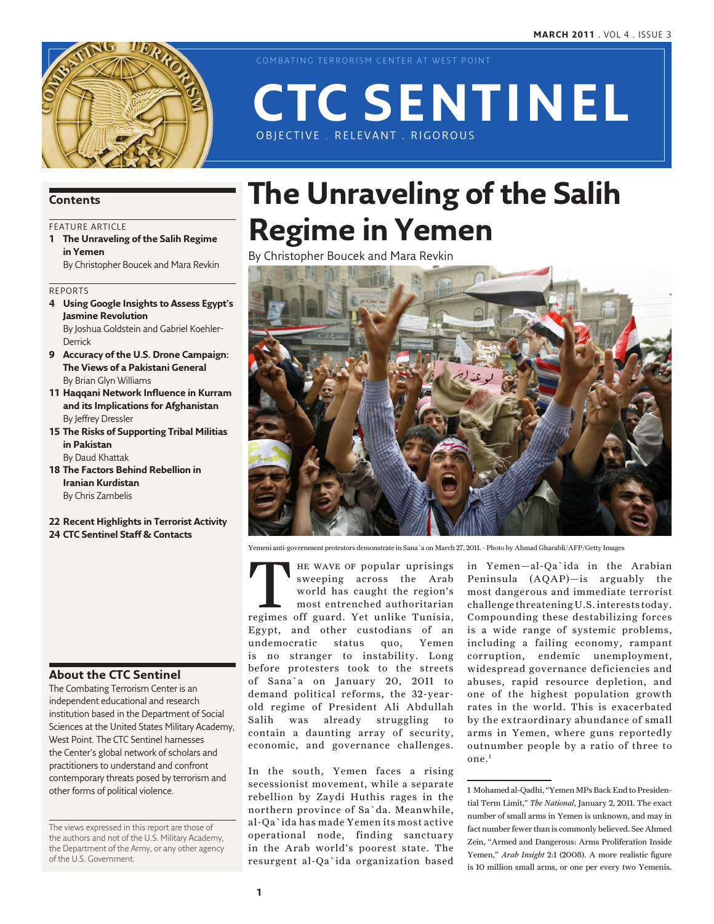

COMBATING TERRORISM CENTER AT WEST POINT

# OBJECTIVE . RELEVANT . RIGOROUS **CTC Sentinel**

## **Contents**

## FEATURE ARTICLE

**1 The Unraveling of the Salih Regime in Yemen**

By Christopher Boucek and Mara Revkin

Reports

- **4 Using Google Insights to Assess Egypt's Jasmine Revolution** By Joshua Goldstein and Gabriel Koehler-**Derrick**
- **9 Accuracy of the U.S. Drone Campaign: The Views of a Pakistani General** By Brian Glyn Williams
- **11 Haqqani Network Influence in Kurram and its Implications for Afghanistan** By Jeffrey Dressler
- **15 The Risks of Supporting Tribal Militias in Pakistan**

By Daud Khattak

- **18 The Factors Behind Rebellion in Iranian Kurdistan** By Chris Zambelis
- **22 Recent Highlights in Terrorist Activity 24 CTC Sentinel Staff & Contacts**

## **About the CTC Sentinel**

The Combating Terrorism Center is an independent educational and research institution based in the Department of Social Sciences at the United States Military Academy, West Point. The CTC Sentinel harnesses the Center's global network of scholars and practitioners to understand and confront contemporary threats posed by terrorism and other forms of political violence.

The views expressed in this report are those of the authors and not of the U.S. Military Academy, the Department of the Army, or any other agency of the U.S. Government.

# **The Unraveling of the Salih Regime in Yemen**

By Christopher Boucek and Mara Revkin



Yemeni anti-government protestors demonstrate in Sana`a on March 27, 2011. - Photo by Ahmad Gharabli/AFP/Getty Images

THE WAVE OF popular uprisings<br>
sweeping across the Arab<br>
world has caught the region's<br>
most entrenched authoritarian<br>
regimes off guard. Yet unlike Tunisia, sweeping across the Arab world has caught the region's most entrenched authoritarian Egypt, and other custodians of an undemocratic status quo, Yemen is no stranger to instability. Long before protesters took to the streets of Sana`a on January 20, 2011 to demand political reforms, the 32-yearold regime of President Ali Abdullah Salih was already struggling to contain a daunting array of security, economic, and governance challenges.

In the south, Yemen faces a rising secessionist movement, while a separate rebellion by Zaydi Huthis rages in the northern province of Sa`da. Meanwhile, al-Qa`ida has made Yemen its most active operational node, finding sanctuary in the Arab world's poorest state. The resurgent al-Qa`ida organization based in Yemen—al-Qa`ida in the Arabian Peninsula (AQAP)—is arguably the most dangerous and immediate terrorist challenge threatening U.S. interests today. Compounding these destabilizing forces is a wide range of systemic problems, including a failing economy, rampant corruption, endemic unemployment, widespread governance deficiencies and abuses, rapid resource depletion, and one of the highest population growth rates in the world. This is exacerbated by the extraordinary abundance of small arms in Yemen, where guns reportedly outnumber people by a ratio of three to one.1

<sup>1</sup> Mohamed al-Qadhi, "Yemen MPs Back End to Presidential Term Limit," *The National*, January 2, 2011. The exact number of small arms in Yemen is unknown, and may in fact number fewer than is commonly believed. See Ahmed Zein, "Armed and Dangerous: Arms Proliferation Inside Yemen," *Arab Insight* 2:1 (2008). A more realistic figure is 10 million small arms, or one per every two Yemenis.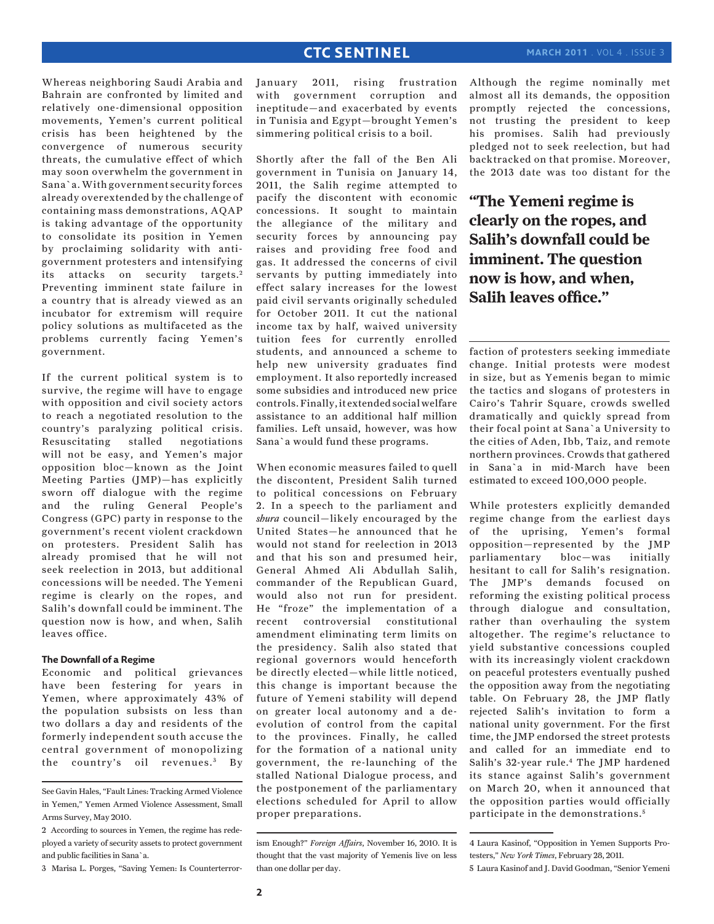Whereas neighboring Saudi Arabia and Bahrain are confronted by limited and relatively one-dimensional opposition movements, Yemen's current political crisis has been heightened by the convergence of numerous security threats, the cumulative effect of which may soon overwhelm the government in Sana`a. With government security forces already overextended by the challenge of containing mass demonstrations, AQAP is taking advantage of the opportunity to consolidate its position in Yemen by proclaiming solidarity with antigovernment protesters and intensifying its attacks on security targets.<sup>2</sup> Preventing imminent state failure in a country that is already viewed as an incubator for extremism will require policy solutions as multifaceted as the problems currently facing Yemen's government.

If the current political system is to survive, the regime will have to engage with opposition and civil society actors to reach a negotiated resolution to the country's paralyzing political crisis. Resuscitating stalled negotiations will not be easy, and Yemen's major opposition bloc—known as the Joint Meeting Parties (JMP)—has explicitly sworn off dialogue with the regime and the ruling General People's Congress (GPC) party in response to the government's recent violent crackdown on protesters. President Salih has already promised that he will not seek reelection in 2013, but additional concessions will be needed. The Yemeni regime is clearly on the ropes, and Salih's downfall could be imminent. The question now is how, and when, Salih leaves office.

## **The Downfall of a Regime**

Economic and political grievances have been festering for years in Yemen, where approximately 43% of the population subsists on less than two dollars a day and residents of the formerly independent south accuse the central government of monopolizing the country's oil revenues.<sup>3</sup> By

3 Marisa L. Porges, "Saving Yemen: Is Counterterror-

January 2011, rising frustration with government corruption and ineptitude—and exacerbated by events in Tunisia and Egypt—brought Yemen's simmering political crisis to a boil.

Shortly after the fall of the Ben Ali government in Tunisia on January 14, 2011, the Salih regime attempted to pacify the discontent with economic concessions. It sought to maintain the allegiance of the military and security forces by announcing pay raises and providing free food and gas. It addressed the concerns of civil servants by putting immediately into effect salary increases for the lowest paid civil servants originally scheduled for October 2011. It cut the national income tax by half, waived university tuition fees for currently enrolled students, and announced a scheme to help new university graduates find employment. It also reportedly increased some subsidies and introduced new price controls. Finally, it extended social welfare assistance to an additional half million families. Left unsaid, however, was how Sana`a would fund these programs.

When economic measures failed to quell the discontent, President Salih turned to political concessions on February 2. In a speech to the parliament and *shura* council—likely encouraged by the United States—he announced that he would not stand for reelection in 2013 and that his son and presumed heir, General Ahmed Ali Abdullah Salih, commander of the Republican Guard, would also not run for president. He "froze" the implementation of a recent controversial constitutional amendment eliminating term limits on the presidency. Salih also stated that regional governors would henceforth be directly elected—while little noticed, this change is important because the future of Yemeni stability will depend on greater local autonomy and a deevolution of control from the capital to the provinces. Finally, he called for the formation of a national unity government, the re-launching of the stalled National Dialogue process, and the postponement of the parliamentary elections scheduled for April to allow proper preparations.

Although the regime nominally met almost all its demands, the opposition promptly rejected the concessions, not trusting the president to keep his promises. Salih had previously pledged not to seek reelection, but had backtracked on that promise. Moreover, the 2013 date was too distant for the

**"The Yemeni regime is clearly on the ropes, and Salih's downfall could be imminent. The question now is how, and when, Salih leaves office."**

faction of protesters seeking immediate change. Initial protests were modest in size, but as Yemenis began to mimic the tactics and slogans of protesters in Cairo's Tahrir Square, crowds swelled dramatically and quickly spread from their focal point at Sana`a University to the cities of Aden, Ibb, Taiz, and remote northern provinces. Crowds that gathered in Sana`a in mid-March have been estimated to exceed 100,000 people.

While protesters explicitly demanded regime change from the earliest days of the uprising, Yemen's formal opposition—represented by the JMP parliamentary bloc—was initially hesitant to call for Salih's resignation. The JMP's demands focused on reforming the existing political process through dialogue and consultation, rather than overhauling the system altogether. The regime's reluctance to yield substantive concessions coupled with its increasingly violent crackdown on peaceful protesters eventually pushed the opposition away from the negotiating table. On February 28, the JMP flatly rejected Salih's invitation to form a national unity government. For the first time, the JMP endorsed the street protests and called for an immediate end to Salih's 32-year rule.4 The JMP hardened its stance against Salih's government on March 20, when it announced that the opposition parties would officially participate in the demonstrations. <sup>5</sup>

See Gavin Hales, "Fault Lines: Tracking Armed Violence in Yemen," Yemen Armed Violence Assessment, Small Arms Survey, May 2010.

<sup>2</sup> According to sources in Yemen, the regime has redeployed a variety of security assets to protect government and public facilities in Sana`a.

ism Enough?" *Foreign Affairs*, November 16, 2010. It is thought that the vast majority of Yemenis live on less than one dollar per day.

<sup>4</sup> Laura Kasinof, "Opposition in Yemen Supports Protesters," *New York Times*, February 28, 2011.

<sup>5</sup> Laura Kasinof and J. David Goodman, "Senior Yemeni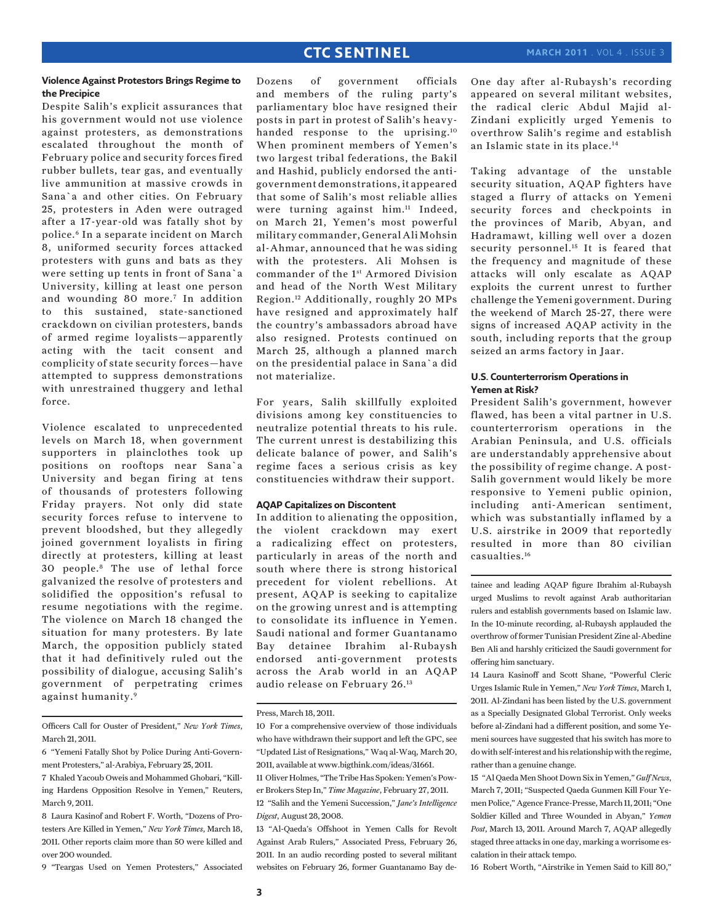## **march 2011** . Vol 4 . Issue 3

## **Violence Against Protestors Brings Regime to the Precipice**

Despite Salih's explicit assurances that his government would not use violence against protesters, as demonstrations escalated throughout the month of February police and security forces fired rubber bullets, tear gas, and eventually live ammunition at massive crowds in Sana`a and other cities. On February 25, protesters in Aden were outraged after a 17-year-old was fatally shot by police.6 In a separate incident on March 8, uniformed security forces attacked protesters with guns and bats as they were setting up tents in front of Sana`a University, killing at least one person and wounding 80 more.7 In addition to this sustained, state-sanctioned crackdown on civilian protesters, bands of armed regime loyalists—apparently acting with the tacit consent and complicity of state security forces—have attempted to suppress demonstrations with unrestrained thuggery and lethal force.

Violence escalated to unprecedented levels on March 18, when government supporters in plainclothes took up positions on rooftops near Sana`a University and began firing at tens of thousands of protesters following Friday prayers. Not only did state security forces refuse to intervene to prevent bloodshed, but they allegedly joined government loyalists in firing directly at protesters, killing at least 30 people.8 The use of lethal force galvanized the resolve of protesters and solidified the opposition's refusal to resume negotiations with the regime. The violence on March 18 changed the situation for many protesters. By late March, the opposition publicly stated that it had definitively ruled out the possibility of dialogue, accusing Salih's government of perpetrating crimes against humanity.9

Officers Call for Ouster of President," *New York Times*, March 21, 2011.

- 6 "Yemeni Fatally Shot by Police During Anti-Government Protesters," al-Arabiya, February 25, 2011.
- 7 Khaled Yacoub Oweis and Mohammed Ghobari, "Killing Hardens Opposition Resolve in Yemen," Reuters, March 9, 2011.
- 8 Laura Kasinof and Robert F. Worth, "Dozens of Protesters Are Killed in Yemen," *New York Times*, March 18, 2011. Other reports claim more than 50 were killed and over 200 wounded.

9 "Teargas Used on Yemen Protesters," Associated

Dozens of government officials and members of the ruling party's parliamentary bloc have resigned their posts in part in protest of Salih's heavyhanded response to the uprising.10 When prominent members of Yemen's two largest tribal federations, the Bakil and Hashid, publicly endorsed the antigovernment demonstrations, it appeared that some of Salih's most reliable allies were turning against him.11 Indeed, on March 21, Yemen's most powerful military commander, General Ali Mohsin al-Ahmar, announced that he was siding with the protesters. Ali Mohsen is commander of the 1<sup>st</sup> Armored Division and head of the North West Military Region.12 Additionally, roughly 20 MPs have resigned and approximately half the country's ambassadors abroad have also resigned. Protests continued on March 25, although a planned march on the presidential palace in Sana`a did not materialize.

For years, Salih skillfully exploited divisions among key constituencies to neutralize potential threats to his rule. The current unrest is destabilizing this delicate balance of power, and Salih's regime faces a serious crisis as key constituencies withdraw their support.

## **AQAP Capitalizes on Discontent**

In addition to alienating the opposition, the violent crackdown may exert a radicalizing effect on protesters, particularly in areas of the north and south where there is strong historical precedent for violent rebellions. At present, AQAP is seeking to capitalize on the growing unrest and is attempting to consolidate its influence in Yemen. Saudi national and former Guantanamo Bay detainee Ibrahim al-Rubaysh endorsed anti-government protests across the Arab world in an AQAP audio release on February 26.13

11 Oliver Holmes, "The Tribe Has Spoken: Yemen's Power Brokers Step In," *Time Magazine*, February 27, 2011. 12 "Salih and the Yemeni Succession," *Jane's Intelligence Digest*, August 28, 2008.

13 "Al-Qaeda's Offshoot in Yemen Calls for Revolt Against Arab Rulers," Associated Press, February 26, 2011. In an audio recording posted to several militant websites on February 26, former Guantanamo Bay deOne day after al-Rubaysh's recording appeared on several militant websites, the radical cleric Abdul Majid al-Zindani explicitly urged Yemenis to overthrow Salih's regime and establish an Islamic state in its place.14

Taking advantage of the unstable security situation, AQAP fighters have staged a flurry of attacks on Yemeni security forces and checkpoints in the provinces of Marib, Abyan, and Hadramawt, killing well over a dozen security personnel.<sup>15</sup> It is feared that the frequency and magnitude of these attacks will only escalate as AQAP exploits the current unrest to further challenge the Yemeni government. During the weekend of March 25-27, there were signs of increased AQAP activity in the south, including reports that the group seized an arms factory in Jaar.

## **U.S. Counterterrorism Operations in Yemen at Risk?**

President Salih's government, however flawed, has been a vital partner in U.S. counterterrorism operations in the Arabian Peninsula, and U.S. officials are understandably apprehensive about the possibility of regime change. A post-Salih government would likely be more responsive to Yemeni public opinion, including anti-American sentiment, which was substantially inflamed by a U.S. airstrike in 2009 that reportedly resulted in more than 80 civilian casualties.16

tainee and leading AQAP figure Ibrahim al-Rubaysh urged Muslims to revolt against Arab authoritarian rulers and establish governments based on Islamic law. In the 10-minute recording, al-Rubaysh applauded the overthrow of former Tunisian President Zine al-Abedine Ben Ali and harshly criticized the Saudi government for offering him sanctuary.

14 Laura Kasinoff and Scott Shane, "Powerful Cleric Urges Islamic Rule in Yemen," *New York Times*, March 1, 2011. Al-Zindani has been listed by the U.S. government as a Specially Designated Global Terrorist. Only weeks before al-Zindani had a different position, and some Yemeni sources have suggested that his switch has more to do with self-interest and his relationship with the regime, rather than a genuine change.

15 "Al Qaeda Men Shoot Down Six in Yemen," *Gulf News*, March 7, 2011; "Suspected Qaeda Gunmen Kill Four Yemen Police," Agence France-Presse, March 11, 2011; "One Soldier Killed and Three Wounded in Abyan," *Yemen Post*, March 13, 2011. Around March 7, AQAP allegedly staged three attacks in one day, marking a worrisome escalation in their attack tempo.

16 Robert Worth, "Airstrike in Yemen Said to Kill 80,"

Press, March 18, 2011.

<sup>10</sup> For a comprehensive overview of those individuals who have withdrawn their support and left the GPC, see "Updated List of Resignations," Waq al-Waq, March 20, 2011, available at www.bigthink.com/ideas/31661.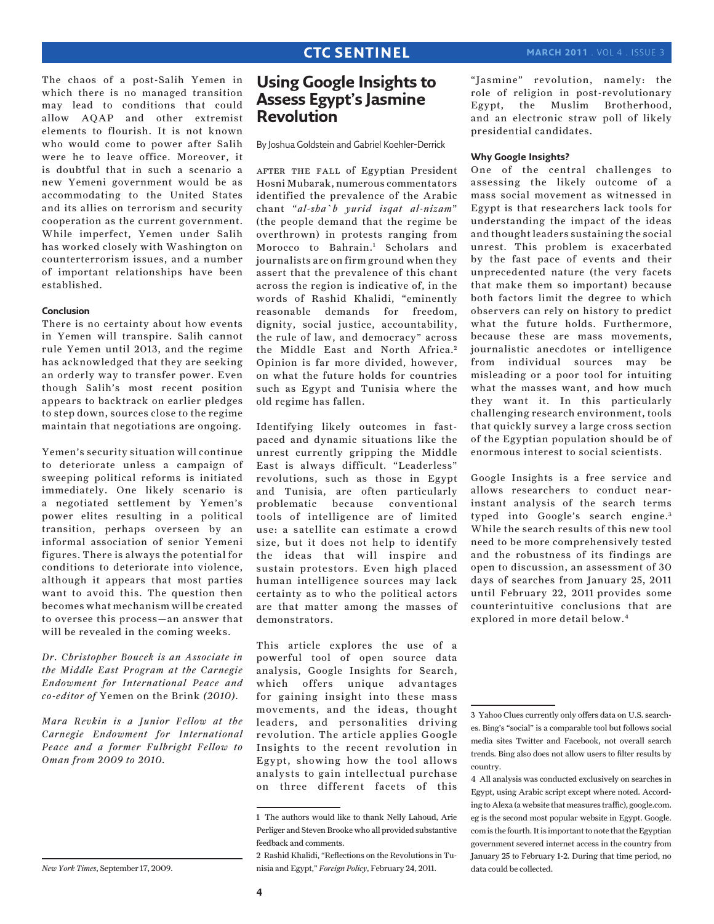The chaos of a post-Salih Yemen in which there is no managed transition may lead to conditions that could allow AQAP and other extremist elements to flourish. It is not known who would come to power after Salih were he to leave office. Moreover, it is doubtful that in such a scenario a new Yemeni government would be as accommodating to the United States and its allies on terrorism and security cooperation as the current government. While imperfect, Yemen under Salih has worked closely with Washington on counterterrorism issues, and a number of important relationships have been established.

## **Conclusion**

There is no certainty about how events in Yemen will transpire. Salih cannot rule Yemen until 2013, and the regime has acknowledged that they are seeking an orderly way to transfer power. Even though Salih's most recent position appears to backtrack on earlier pledges to step down, sources close to the regime maintain that negotiations are ongoing.

Yemen's security situation will continue to deteriorate unless a campaign of sweeping political reforms is initiated immediately. One likely scenario is a negotiated settlement by Yemen's power elites resulting in a political transition, perhaps overseen by an informal association of senior Yemeni figures. There is always the potential for conditions to deteriorate into violence, although it appears that most parties want to avoid this. The question then becomes what mechanism will be created to oversee this process—an answer that will be revealed in the coming weeks.

*Dr. Christopher Boucek is an Associate in the Middle East Program at the Carnegie Endowment for International Peace and co-editor of* Yemen on the Brink *(2010).*

*Mara Revkin is a Junior Fellow at the Carnegie Endowment for International Peace and a former Fulbright Fellow to Oman from 2009 to 2010.*

*New York Times*, September 17, 2009.

# **Using Google Insights to Assess Egypt's Jasmine Revolution**

By Joshua Goldstein and Gabriel Koehler-Derrick

AFTER THE FALL of Egyptian President Hosni Mubarak, numerous commentators identified the prevalence of the Arabic chant "*al-sha`b yurid isqat al-nizam*" (the people demand that the regime be overthrown) in protests ranging from Morocco to Bahrain.1 Scholars and journalists are on firm ground when they assert that the prevalence of this chant across the region is indicative of, in the words of Rashid Khalidi, "eminently reasonable demands for freedom, dignity, social justice, accountability, the rule of law, and democracy" across the Middle East and North Africa.<sup>2</sup> Opinion is far more divided, however, on what the future holds for countries such as Egypt and Tunisia where the old regime has fallen.

Identifying likely outcomes in fastpaced and dynamic situations like the unrest currently gripping the Middle East is always difficult. "Leaderless" revolutions, such as those in Egypt and Tunisia, are often particularly problematic because conventional tools of intelligence are of limited use: a satellite can estimate a crowd size, but it does not help to identify the ideas that will inspire and sustain protestors. Even high placed human intelligence sources may lack certainty as to who the political actors are that matter among the masses of demonstrators.

This article explores the use of a powerful tool of open source data analysis, Google Insights for Search, which offers unique advantages for gaining insight into these mass movements, and the ideas, thought leaders, and personalities driving revolution. The article applies Google Insights to the recent revolution in Egypt, showing how the tool allows analysts to gain intellectual purchase on three different facets of this

"Jasmine" revolution, namely: the role of religion in post-revolutionary Egypt, the Muslim Brotherhood, and an electronic straw poll of likely presidential candidates.

#### **Why Google Insights?**

One of the central challenges to assessing the likely outcome of a mass social movement as witnessed in Egypt is that researchers lack tools for understanding the impact of the ideas and thought leaders sustaining the social unrest. This problem is exacerbated by the fast pace of events and their unprecedented nature (the very facets that make them so important) because both factors limit the degree to which observers can rely on history to predict what the future holds. Furthermore, because these are mass movements, journalistic anecdotes or intelligence from individual sources may be misleading or a poor tool for intuiting what the masses want, and how much they want it. In this particularly challenging research environment, tools that quickly survey a large cross section of the Egyptian population should be of enormous interest to social scientists.

Google Insights is a free service and allows researchers to conduct nearinstant analysis of the search terms typed into Google's search engine.<sup>3</sup> While the search results of this new tool need to be more comprehensively tested and the robustness of its findings are open to discussion, an assessment of 30 days of searches from January 25, 2011 until February 22, 2011 provides some counterintuitive conclusions that are explored in more detail below.4

<sup>1</sup> The authors would like to thank Nelly Lahoud, Arie Perliger and Steven Brooke who all provided substantive feedback and comments.

<sup>2</sup> Rashid Khalidi, "Reflections on the Revolutions in Tunisia and Egypt," *Foreign Policy*, February 24, 2011.

<sup>3</sup> Yahoo Clues currently only offers data on U.S. searches. Bing's "social" is a comparable tool but follows social media sites Twitter and Facebook, not overall search trends. Bing also does not allow users to filter results by country.

<sup>4</sup> All analysis was conducted exclusively on searches in Egypt, using Arabic script except where noted. According to Alexa (a website that measures traffic), google.com. eg is the second most popular website in Egypt. Google. com is the fourth. It is important to note that the Egyptian government severed internet access in the country from January 25 to February 1-2. During that time period, no data could be collected.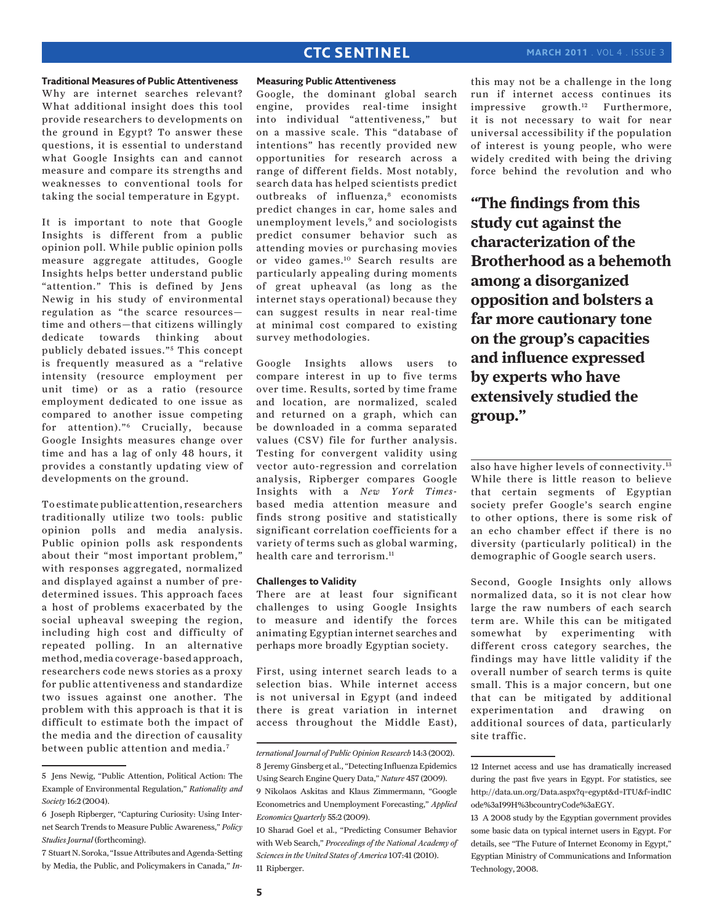#### **Traditional Measures of Public Attentiveness**

Why are internet searches relevant? What additional insight does this tool provide researchers to developments on the ground in Egypt? To answer these questions, it is essential to understand what Google Insights can and cannot measure and compare its strengths and weaknesses to conventional tools for taking the social temperature in Egypt.

It is important to note that Google Insights is different from a public opinion poll. While public opinion polls measure aggregate attitudes, Google Insights helps better understand public "attention." This is defined by Jens Newig in his study of environmental regulation as "the scarce resources time and others—that citizens willingly dedicate towards thinking about publicly debated issues."<sup>5</sup> This concept is frequently measured as a "relative intensity (resource employment per unit time) or as a ratio (resource employment dedicated to one issue as compared to another issue competing for attention)."6 Crucially, because Google Insights measures change over time and has a lag of only 48 hours, it provides a constantly updating view of developments on the ground.

To estimate public attention, researchers traditionally utilize two tools: public opinion polls and media analysis. Public opinion polls ask respondents about their "most important problem," with responses aggregated, normalized and displayed against a number of predetermined issues. This approach faces a host of problems exacerbated by the social upheaval sweeping the region, including high cost and difficulty of repeated polling. In an alternative method, media coverage-based approach, researchers code news stories as a proxy for public attentiveness and standardize two issues against one another. The problem with this approach is that it is difficult to estimate both the impact of the media and the direction of causality between public attention and media.<sup>7</sup>

#### **Measuring Public Attentiveness**

Google, the dominant global search engine, provides real-time insight into individual "attentiveness," but on a massive scale. This "database of intentions" has recently provided new opportunities for research across a range of different fields. Most notably, search data has helped scientists predict outbreaks of influenza,<sup>8</sup> economists predict changes in car, home sales and unemployment levels,<sup>9</sup> and sociologists predict consumer behavior such as attending movies or purchasing movies or video games.10 Search results are particularly appealing during moments of great upheaval (as long as the internet stays operational) because they can suggest results in near real-time at minimal cost compared to existing survey methodologies.

Google Insights allows users to compare interest in up to five terms over time. Results, sorted by time frame and location, are normalized, scaled and returned on a graph, which can be downloaded in a comma separated values (CSV) file for further analysis. Testing for convergent validity using vector auto-regression and correlation analysis, Ripberger compares Google Insights with a *New York Times*based media attention measure and finds strong positive and statistically significant correlation coefficients for a variety of terms such as global warming, health care and terrorism.<sup>11</sup>

#### **Challenges to Validity**

There are at least four significant challenges to using Google Insights to measure and identify the forces animating Egyptian internet searches and perhaps more broadly Egyptian society.

First, using internet search leads to a selection bias. While internet access is not universal in Egypt (and indeed there is great variation in internet access throughout the Middle East), this may not be a challenge in the long run if internet access continues its impressive growth.<sup>12</sup> Furthermore, it is not necessary to wait for near universal accessibility if the population of interest is young people, who were widely credited with being the driving force behind the revolution and who

**"The findings from this study cut against the characterization of the Brotherhood as a behemoth among a disorganized opposition and bolsters a far more cautionary tone on the group's capacities and influence expressed by experts who have extensively studied the group."**

also have higher levels of connectivity.13 While there is little reason to believe that certain segments of Egyptian society prefer Google's search engine to other options, there is some risk of an echo chamber effect if there is no diversity (particularly political) in the demographic of Google search users.

Second, Google Insights only allows normalized data, so it is not clear how large the raw numbers of each search term are. While this can be mitigated somewhat by experimenting with different cross category searches, the findings may have little validity if the overall number of search terms is quite small. This is a major concern, but one that can be mitigated by additional experimentation and drawing on additional sources of data, particularly site traffic.

<sup>5</sup> Jens Newig, "Public Attention, Political Action: The Example of Environmental Regulation," *Rationality and Society* 16:2 (2004).

<sup>6</sup> Joseph Ripberger, "Capturing Curiosity: Using Internet Search Trends to Measure Public Awareness," *Policy Studies Journal* (forthcoming).

<sup>7</sup> Stuart N. Soroka, "Issue Attributes and Agenda-Setting by Media, the Public, and Policymakers in Canada," *In-*

*ternational Journal of Public Opinion Research* 14:3 (2002). 8 Jeremy Ginsberg et al., "Detecting Influenza Epidemics Using Search Engine Query Data," *Nature* 457 (2009). 9 Nikolaos Askitas and Klaus Zimmermann, "Google Econometrics and Unemployment Forecasting," *Applied Economics Quarterly* 55:2 (2009).

<sup>10</sup> Sharad Goel et al., "Predicting Consumer Behavior with Web Search," *Proceedings of the National Academy of Sciences in the United States of America* 107:41 (2010). 11 Ripberger.

<sup>12</sup> Internet access and use has dramatically increased during the past five years in Egypt. For statistics, see http://data.un.org/Data.aspx?q=egypt&d=ITU&f=ind1C ode%3aI99H%3bcountryCode%3aEGY.

<sup>13</sup> A 2008 study by the Egyptian government provides some basic data on typical internet users in Egypt. For details, see "The Future of Internet Economy in Egypt," Egyptian Ministry of Communications and Information Technology, 2008.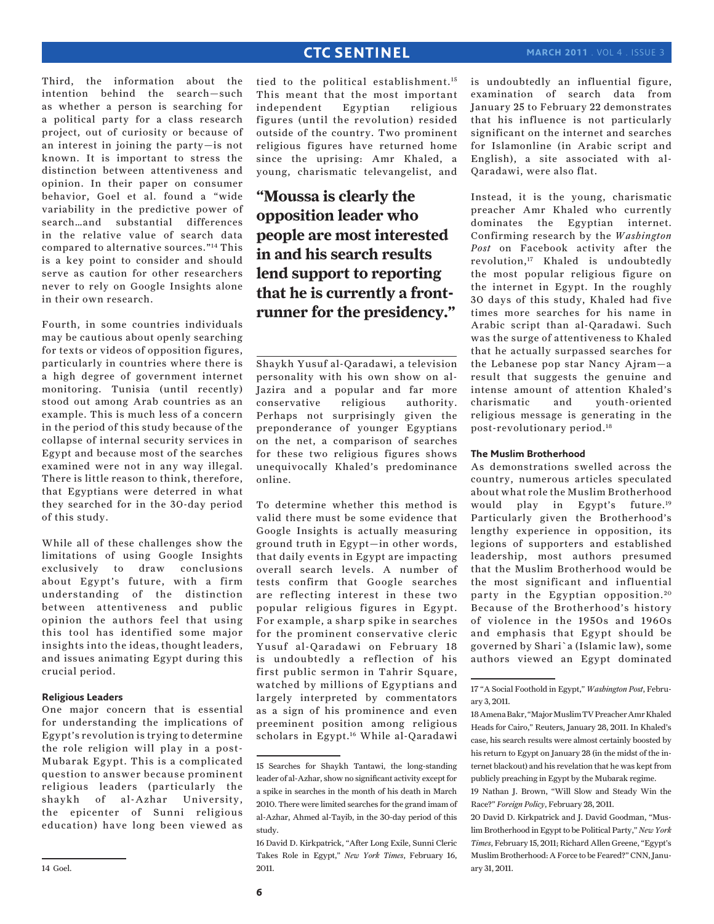Third, the information about the intention behind the search—such as whether a person is searching for a political party for a class research project, out of curiosity or because of an interest in joining the party—is not known. It is important to stress the distinction between attentiveness and opinion. In their paper on consumer behavior, Goel et al. found a "wide variability in the predictive power of search…and substantial differences in the relative value of search data compared to alternative sources."14 This is a key point to consider and should serve as caution for other researchers never to rely on Google Insights alone in their own research.

Fourth, in some countries individuals may be cautious about openly searching for texts or videos of opposition figures, particularly in countries where there is a high degree of government internet monitoring. Tunisia (until recently) stood out among Arab countries as an example. This is much less of a concern in the period of this study because of the collapse of internal security services in Egypt and because most of the searches examined were not in any way illegal. There is little reason to think, therefore, that Egyptians were deterred in what they searched for in the 30-day period of this study.

While all of these challenges show the limitations of using Google Insights exclusively to draw conclusions about Egypt's future, with a firm understanding of the distinction between attentiveness and public opinion the authors feel that using this tool has identified some major insights into the ideas, thought leaders, and issues animating Egypt during this crucial period.

#### **Religious Leaders**

One major concern that is essential for understanding the implications of Egypt's revolution is trying to determine the role religion will play in a post-Mubarak Egypt. This is a complicated question to answer because prominent religious leaders (particularly the shaykh of al-Azhar University, the epicenter of Sunni religious education) have long been viewed as

tied to the political establishment.15 This meant that the most important independent Egyptian religious figures (until the revolution) resided outside of the country. Two prominent religious figures have returned home since the uprising: Amr Khaled, a young, charismatic televangelist, and

**"Moussa is clearly the opposition leader who people are most interested in and his search results lend support to reporting that he is currently a frontrunner for the presidency."**

Shaykh Yusuf al-Qaradawi, a television personality with his own show on al-Jazira and a popular and far more conservative religious authority. Perhaps not surprisingly given the preponderance of younger Egyptians on the net, a comparison of searches for these two religious figures shows unequivocally Khaled's predominance online.

To determine whether this method is valid there must be some evidence that Google Insights is actually measuring ground truth in Egypt—in other words, that daily events in Egypt are impacting overall search levels. A number of tests confirm that Google searches are reflecting interest in these two popular religious figures in Egypt. For example, a sharp spike in searches for the prominent conservative cleric Yusuf al-Qaradawi on February 18 is undoubtedly a reflection of his first public sermon in Tahrir Square, watched by millions of Egyptians and largely interpreted by commentators as a sign of his prominence and even preeminent position among religious scholars in Egypt.16 While al-Qaradawi

is undoubtedly an influential figure, examination of search data from January 25 to February 22 demonstrates that his influence is not particularly significant on the internet and searches for Islamonline (in Arabic script and English), a site associated with al-Qaradawi, were also flat.

Instead, it is the young, charismatic preacher Amr Khaled who currently dominates the Egyptian internet. Confirming research by the *Washington Post* on Facebook activity after the revolution,<sup>17</sup> Khaled is undoubtedly the most popular religious figure on the internet in Egypt. In the roughly 30 days of this study, Khaled had five times more searches for his name in Arabic script than al-Qaradawi. Such was the surge of attentiveness to Khaled that he actually surpassed searches for the Lebanese pop star Nancy Ajram—a result that suggests the genuine and intense amount of attention Khaled's charismatic and youth-oriented religious message is generating in the post-revolutionary period.18

## **The Muslim Brotherhood**

As demonstrations swelled across the country, numerous articles speculated about what role the Muslim Brotherhood would play in Egypt's future.19 Particularly given the Brotherhood's lengthy experience in opposition, its legions of supporters and established leadership, most authors presumed that the Muslim Brotherhood would be the most significant and influential party in the Egyptian opposition.<sup>20</sup> Because of the Brotherhood's history of violence in the 1950s and 1960s and emphasis that Egypt should be governed by Shari`a (Islamic law), some authors viewed an Egypt dominated

<sup>15</sup> Searches for Shaykh Tantawi, the long-standing leader of al-Azhar, show no significant activity except for a spike in searches in the month of his death in March 2010. There were limited searches for the grand imam of al-Azhar, Ahmed al-Tayib, in the 30-day period of this study.

<sup>16</sup> David D. Kirkpatrick, "After Long Exile, Sunni Cleric Takes Role in Egypt," *New York Times*, February 16, 2011.

<sup>17 &</sup>quot;A Social Foothold in Egypt," *Washington Post*, February 3, 2011.

<sup>18</sup> Amena Bakr, "Major Muslim TV Preacher Amr Khaled Heads for Cairo," Reuters, January 28, 2011. In Khaled's case, his search results were almost certainly boosted by his return to Egypt on January 28 (in the midst of the internet blackout) and his revelation that he was kept from publicly preaching in Egypt by the Mubarak regime.

<sup>19</sup> Nathan J. Brown, "Will Slow and Steady Win the Race?" *Foreign Policy*, February 28, 2011.

<sup>20</sup> David D. Kirkpatrick and J. David Goodman, "Muslim Brotherhood in Egypt to be Political Party," *New York Times*, February 15, 2011; Richard Allen Greene, "Egypt's Muslim Brotherhood: A Force to be Feared?" CNN, January 31, 2011.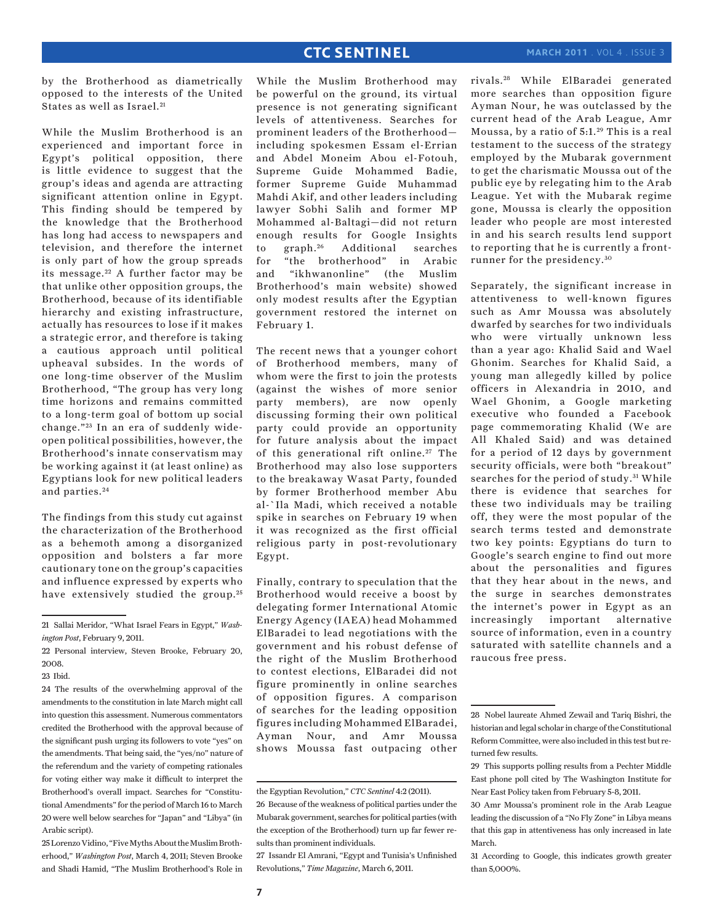by the Brotherhood as diametrically opposed to the interests of the United States as well as Israel.<sup>21</sup>

While the Muslim Brotherhood is an experienced and important force in Egypt's political opposition, there is little evidence to suggest that the group's ideas and agenda are attracting significant attention online in Egypt. This finding should be tempered by the knowledge that the Brotherhood has long had access to newspapers and television, and therefore the internet is only part of how the group spreads its message.<sup>22</sup> A further factor may be that unlike other opposition groups, the Brotherhood, because of its identifiable hierarchy and existing infrastructure, actually has resources to lose if it makes a strategic error, and therefore is taking a cautious approach until political upheaval subsides. In the words of one long-time observer of the Muslim Brotherhood, "The group has very long time horizons and remains committed to a long-term goal of bottom up social change."<sup>23</sup> In an era of suddenly wideopen political possibilities, however, the Brotherhood's innate conservatism may be working against it (at least online) as Egyptians look for new political leaders and parties. <sup>24</sup>

The findings from this study cut against the characterization of the Brotherhood as a behemoth among a disorganized opposition and bolsters a far more cautionary tone on the group's capacities and influence expressed by experts who have extensively studied the group.<sup>25</sup>

25 Lorenzo Vidino, "Five Myths About the Muslim Brotherhood," *Washington Post*, March 4, 2011; Steven Brooke and Shadi Hamid, "The Muslim Brotherhood's Role in The recent news that a younger cohort of Brotherhood members, many of whom were the first to join the protests (against the wishes of more senior party members), are now openly discussing forming their own political party could provide an opportunity for future analysis about the impact of this generational rift online.<sup>27</sup> The Brotherhood may also lose supporters to the breakaway Wasat Party, founded by former Brotherhood member Abu al-`Ila Madi, which received a notable spike in searches on February 19 when it was recognized as the first official religious party in post-revolutionary Egypt.

Finally, contrary to speculation that the Brotherhood would receive a boost by delegating former International Atomic Energy Agency (IAEA) head Mohammed ElBaradei to lead negotiations with the government and his robust defense of the right of the Muslim Brotherhood to contest elections, ElBaradei did not figure prominently in online searches of opposition figures. A comparison of searches for the leading opposition figures including Mohammed ElBaradei, Ayman Nour, and Amr Moussa shows Moussa fast outpacing other rivals. 28 While ElBaradei generated more searches than opposition figure Ayman Nour, he was outclassed by the current head of the Arab League, Amr Moussa, by a ratio of 5:1. 29 This is a real testament to the success of the strategy employed by the Mubarak government to get the charismatic Moussa out of the public eye by relegating him to the Arab League. Yet with the Mubarak regime gone, Moussa is clearly the opposition leader who people are most interested in and his search results lend support to reporting that he is currently a frontrunner for the presidency. <sup>30</sup>

Separately, the significant increase in attentiveness to well-known figures such as Amr Moussa was absolutely dwarfed by searches for two individuals who were virtually unknown less than a year ago: Khalid Said and Wael Ghonim. Searches for Khalid Said, a young man allegedly killed by police officers in Alexandria in 2010, and Wael Ghonim, a Google marketing executive who founded a Facebook page commemorating Khalid (We are All Khaled Said) and was detained for a period of 12 days by government security officials, were both "breakout" searches for the period of study.<sup>31</sup> While there is evidence that searches for these two individuals may be trailing off, they were the most popular of the search terms tested and demonstrate two key points: Egyptians do turn to Google's search engine to find out more about the personalities and figures that they hear about in the news, and the surge in searches demonstrates the internet's power in Egypt as an increasingly important alternative source of information, even in a country saturated with satellite channels and a raucous free press.

<sup>21</sup> Sallai Meridor, "What Israel Fears in Egypt," *Washington Post*, February 9, 2011.

<sup>22</sup> Personal interview, Steven Brooke, February 20, 2008.

<sup>23</sup> Ibid.

<sup>24</sup> The results of the overwhelming approval of the amendments to the constitution in late March might call into question this assessment. Numerous commentators credited the Brotherhood with the approval because of the significant push urging its followers to vote "yes" on the amendments. That being said, the "yes/no" nature of the referendum and the variety of competing rationales for voting either way make it difficult to interpret the Brotherhood's overall impact. Searches for "Constitutional Amendments" for the period of March 16 to March 20 were well below searches for "Japan" and "Libya" (in Arabic script).

While the Muslim Brotherhood may be powerful on the ground, its virtual presence is not generating significant levels of attentiveness. Searches for prominent leaders of the Brotherhood including spokesmen Essam el-Errian and Abdel Moneim Abou el-Fotouh, Supreme Guide Mohammed Badie, former Supreme Guide Muhammad Mahdi Akif, and other leaders including lawyer Sobhi Salih and former MP Mohammed al-Baltagi—did not return enough results for Google Insights<br>to graph.<sup>26</sup> Additional searches to graph.<sup>26</sup> Additional searches for "the brotherhood" in Arabic and "ikhwanonline" (the Muslim Brotherhood's main website) showed only modest results after the Egyptian government restored the internet on February 1.

the Egyptian Revolution," *CTC Sentinel* 4:2 (2011).

<sup>26</sup> Because of the weakness of political parties under the Mubarak government, searches for political parties (with the exception of the Brotherhood) turn up far fewer results than prominent individuals.

<sup>27</sup> Issandr El Amrani, "Egypt and Tunisia's Unfinished Revolutions," *Time Magazine*, March 6, 2011.

<sup>28</sup> Nobel laureate Ahmed Zewail and Tariq Bishri, the historian and legal scholar in charge of the Constitutional Reform Committee, were also included in this test but returned few results.

<sup>29</sup> This supports polling results from a Pechter Middle East phone poll cited by The Washington Institute for Near East Policy taken from February 5-8, 2011.

<sup>30</sup> Amr Moussa's prominent role in the Arab League leading the discussion of a "No Fly Zone" in Libya means that this gap in attentiveness has only increased in late March.

<sup>31</sup> According to Google, this indicates growth greater than 5,000%.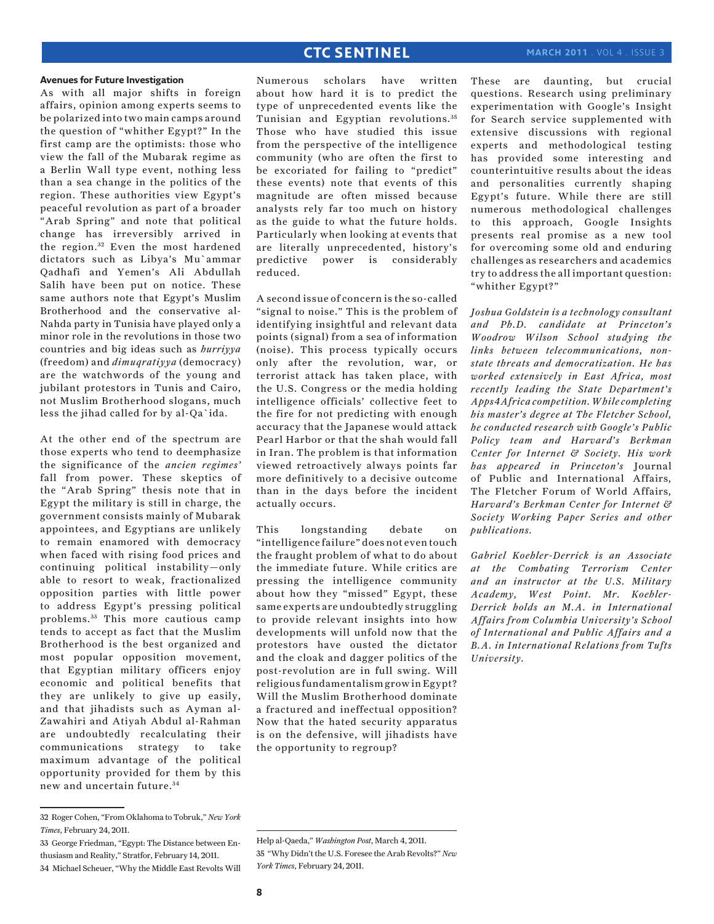#### **Avenues for Future Investigation**

As with all major shifts in foreign affairs, opinion among experts seems to be polarized into two main camps around the question of "whither Egypt?" In the first camp are the optimists: those who view the fall of the Mubarak regime as a Berlin Wall type event, nothing less than a sea change in the politics of the region. These authorities view Egypt's peaceful revolution as part of a broader "Arab Spring" and note that political change has irreversibly arrived in the region.<sup>32</sup> Even the most hardened dictators such as Libya's Mu`ammar Qadhafi and Yemen's Ali Abdullah Salih have been put on notice. These same authors note that Egypt's Muslim Brotherhood and the conservative al-Nahda party in Tunisia have played only a minor role in the revolutions in those two countries and big ideas such as *hurriyya* (freedom) and *dimuqratiyya* (democracy) are the watchwords of the young and jubilant protestors in Tunis and Cairo, not Muslim Brotherhood slogans, much less the jihad called for by al-Qa`ida.

At the other end of the spectrum are those experts who tend to deemphasize the significance of the *ancien regimes'* fall from power. These skeptics of the "Arab Spring" thesis note that in Egypt the military is still in charge, the government consists mainly of Mubarak appointees, and Egyptians are unlikely to remain enamored with democracy when faced with rising food prices and continuing political instability—only able to resort to weak, fractionalized opposition parties with little power to address Egypt's pressing political problems. 33 This more cautious camp tends to accept as fact that the Muslim Brotherhood is the best organized and most popular opposition movement, that Egyptian military officers enjoy economic and political benefits that they are unlikely to give up easily, and that jihadists such as Ayman al-Zawahiri and Atiyah Abdul al-Rahman are undoubtedly recalculating their communications strategy to take maximum advantage of the political opportunity provided for them by this new and uncertain future. <sup>34</sup>

Numerous scholars have written about how hard it is to predict the type of unprecedented events like the Tunisian and Egyptian revolutions. <sup>35</sup> Those who have studied this issue from the perspective of the intelligence community (who are often the first to be excoriated for failing to "predict" these events) note that events of this magnitude are often missed because analysts rely far too much on history as the guide to what the future holds. Particularly when looking at events that are literally unprecedented, history's predictive power is considerably reduced.

A second issue of concern is the so-called "signal to noise." This is the problem of identifying insightful and relevant data points (signal) from a sea of information (noise). This process typically occurs only after the revolution, war, or terrorist attack has taken place, with the U.S. Congress or the media holding intelligence officials' collective feet to the fire for not predicting with enough accuracy that the Japanese would attack Pearl Harbor or that the shah would fall in Iran. The problem is that information viewed retroactively always points far more definitively to a decisive outcome than in the days before the incident actually occurs.

This longstanding debate on "intelligence failure" does not even touch the fraught problem of what to do about the immediate future. While critics are pressing the intelligence community about how they "missed" Egypt, these same experts are undoubtedly struggling to provide relevant insights into how developments will unfold now that the protestors have ousted the dictator and the cloak and dagger politics of the post-revolution are in full swing. Will religious fundamentalism grow in Egypt? Will the Muslim Brotherhood dominate a fractured and ineffectual opposition? Now that the hated security apparatus is on the defensive, will jihadists have the opportunity to regroup?

These are daunting, but crucial questions. Research using preliminary experimentation with Google's Insight for Search service supplemented with extensive discussions with regional experts and methodological testing has provided some interesting and counterintuitive results about the ideas and personalities currently shaping Egypt's future. While there are still numerous methodological challenges to this approach, Google Insights presents real promise as a new tool for overcoming some old and enduring challenges as researchers and academics try to address the all important question: "whither Egypt?"

*Joshua Goldstein is a technology consultant and Ph.D. candidate at Princeton's Woodrow Wilson School studying the links between telecommunications, nonstate threats and democratization. He has worked extensively in East Africa, most recently leading the State Department's Apps4Africa competition. While completing his master's degree at The Fletcher School, he conducted research with Google's Public Policy team and Harvard's Berkman Center for Internet & Society. His work has appeared in Princeton's* Journal of Public and International Affairs*,*  The Fletcher Forum of World Affairs*, Harvard's Berkman Center for Internet & Society Working Paper Series and other publications.*

*Gabriel Koehler-Derrick is an Associate at the Combating Terrorism Center and an instructor at the U.S. Military Academy, West Point. Mr. Koehler-Derrick holds an M.A. in International Affairs from Columbia University's School of International and Public Affairs and a B.A. in International Relations from Tufts University.*

<sup>32</sup> Roger Cohen, "From Oklahoma to Tobruk," *New York Times*, February 24, 2011.

<sup>33</sup> George Friedman, "Egypt: The Distance between Enthusiasm and Reality," Stratfor, February 14, 2011. 34 Michael Scheuer, "Why the Middle East Revolts Will

Help al-Qaeda," *Washington Post*, March 4, 2011. 35 "Why Didn't the U.S. Foresee the Arab Revolts?" *New York Times*, February 24, 2011.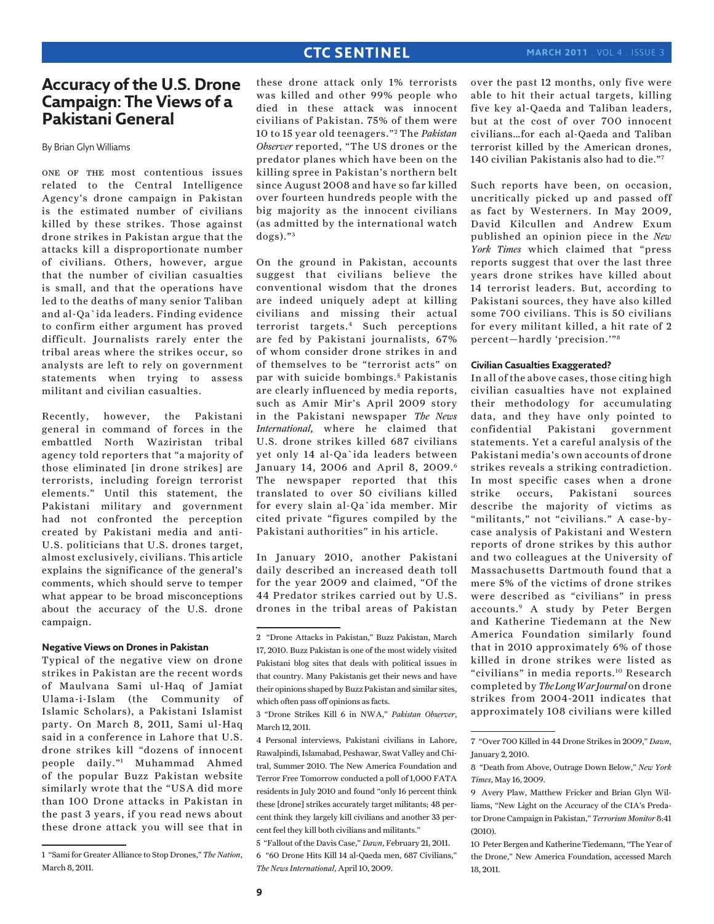# **Accuracy of the U.S. Drone Campaign: The Views of a Pakistani General**

By Brian Glyn Williams

one of the most contentious issues related to the Central Intelligence Agency's drone campaign in Pakistan is the estimated number of civilians killed by these strikes. Those against drone strikes in Pakistan argue that the attacks kill a disproportionate number of civilians. Others, however, argue that the number of civilian casualties is small, and that the operations have led to the deaths of many senior Taliban and al-Qa`ida leaders. Finding evidence to confirm either argument has proved difficult. Journalists rarely enter the tribal areas where the strikes occur, so analysts are left to rely on government statements when trying to assess militant and civilian casualties.

Recently, however, the Pakistani general in command of forces in the embattled North Waziristan tribal agency told reporters that "a majority of those eliminated [in drone strikes] are terrorists, including foreign terrorist elements." Until this statement, the Pakistani military and government had not confronted the perception created by Pakistani media and anti-U.S. politicians that U.S. drones target, almost exclusively, civilians. This article explains the significance of the general's comments, which should serve to temper what appear to be broad misconceptions about the accuracy of the U.S. drone campaign.

### **Negative Views on Drones in Pakistan**

Typical of the negative view on drone strikes in Pakistan are the recent words of Maulvana Sami ul-Haq of Jamiat Ulama-i-Islam (the Community of Islamic Scholars), a Pakistani Islamist party. On March 8, 2011, Sami ul-Haq said in a conference in Lahore that U.S. drone strikes kill "dozens of innocent people daily."1 Muhammad Ahmed of the popular Buzz Pakistan website similarly wrote that the "USA did more than 100 Drone attacks in Pakistan in the past 3 years, if you read news about these drone attack you will see that in

these drone attack only 1% terrorists was killed and other 99% people who died in these attack was innocent civilians of Pakistan. 75% of them were 10 to 15 year old teenagers." 2 The *Pakistan Observer* reported, "The US drones or the predator planes which have been on the killing spree in Pakistan's northern belt since August 2008 and have so far killed over fourteen hundreds people with the big majority as the innocent civilians (as admitted by the international watch  $\log s$ )." $3$ 

On the ground in Pakistan, accounts suggest that civilians believe the conventional wisdom that the drones are indeed uniquely adept at killing civilians and missing their actual terrorist targets.4 Such perceptions are fed by Pakistani journalists, 67% of whom consider drone strikes in and of themselves to be "terrorist acts" on par with suicide bombings.<sup>5</sup> Pakistanis are clearly influenced by media reports, such as Amir Mir's April 2009 story in the Pakistani newspaper *The News International*, where he claimed that U.S. drone strikes killed 687 civilians yet only 14 al-Qa`ida leaders between January 14, 2006 and April 8, 2009.<sup>6</sup> The newspaper reported that this translated to over 50 civilians killed for every slain al-Qa`ida member. Mir cited private "figures compiled by the Pakistani authorities" in his article.

In January 2010, another Pakistani daily described an increased death toll for the year 2009 and claimed, "Of the 44 Predator strikes carried out by U.S. drones in the tribal areas of Pakistan

5 "Fallout of the Davis Case," *Dawn*, February 21, 2011. 6 "60 Drone Hits Kill 14 al-Qaeda men, 687 Civilians," *The News International*, April 10, 2009.

over the past 12 months, only five were able to hit their actual targets, killing five key al-Qaeda and Taliban leaders, but at the cost of over 700 innocent civilians…for each al-Qaeda and Taliban terrorist killed by the American drones, 140 civilian Pakistanis also had to die."7

Such reports have been, on occasion, uncritically picked up and passed off as fact by Westerners. In May 2009, David Kilcullen and Andrew Exum published an opinion piece in the *New York Times* which claimed that "press reports suggest that over the last three years drone strikes have killed about 14 terrorist leaders. But, according to Pakistani sources, they have also killed some 700 civilians. This is 50 civilians for every militant killed, a hit rate of 2 percent—hardly 'precision.'"8

#### **Civilian Casualties Exaggerated?**

In all of the above cases, those citing high civilian casualties have not explained their methodology for accumulating data, and they have only pointed to confidential Pakistani government statements. Yet a careful analysis of the Pakistani media's own accounts of drone strikes reveals a striking contradiction. In most specific cases when a drone strike occurs, Pakistani sources describe the majority of victims as "militants," not "civilians." A case-bycase analysis of Pakistani and Western reports of drone strikes by this author and two colleagues at the University of Massachusetts Dartmouth found that a mere 5% of the victims of drone strikes were described as "civilians" in press accounts.9 A study by Peter Bergen and Katherine Tiedemann at the New America Foundation similarly found that in 2010 approximately 6% of those killed in drone strikes were listed as "civilians" in media reports.10 Research completed by *The Long War Journal* on drone strikes from 2004-2011 indicates that approximately 108 civilians were killed

<sup>1 &</sup>quot;Sami for Greater Alliance to Stop Drones," *The Nation*, March 8, 2011.

<sup>2 &</sup>quot;Drone Attacks in Pakistan," Buzz Pakistan, March 17, 2010. Buzz Pakistan is one of the most widely visited Pakistani blog sites that deals with political issues in that country. Many Pakistanis get their news and have their opinions shaped by Buzz Pakistan and similar sites, which often pass off opinions as facts.

<sup>3 &</sup>quot;Drone Strikes Kill 6 in NWA," *Pakistan Observer*, March 12, 2011.

<sup>4</sup> Personal interviews, Pakistani civilians in Lahore, Rawalpindi, Islamabad, Peshawar, Swat Valley and Chitral, Summer 2010. The New America Foundation and Terror Free Tomorrow conducted a poll of 1,000 FATA residents in July 2010 and found "only 16 percent think these [drone] strikes accurately target militants; 48 percent think they largely kill civilians and another 33 percent feel they kill both civilians and militants."

<sup>7 &</sup>quot;Over 700 Killed in 44 Drone Strikes in 2009," *Dawn*, January 2, 2010.

<sup>8 &</sup>quot;Death from Above, Outrage Down Below," *New York Times*, May 16, 2009.

<sup>9</sup> Avery Plaw, Matthew Fricker and Brian Glyn Williams, "New Light on the Accuracy of the CIA's Predator Drone Campaign in Pakistan," *Terrorism Monitor* 8:41 (2010).

<sup>10</sup> Peter Bergen and Katherine Tiedemann, "The Year of the Drone," New America Foundation, accessed March 18, 2011.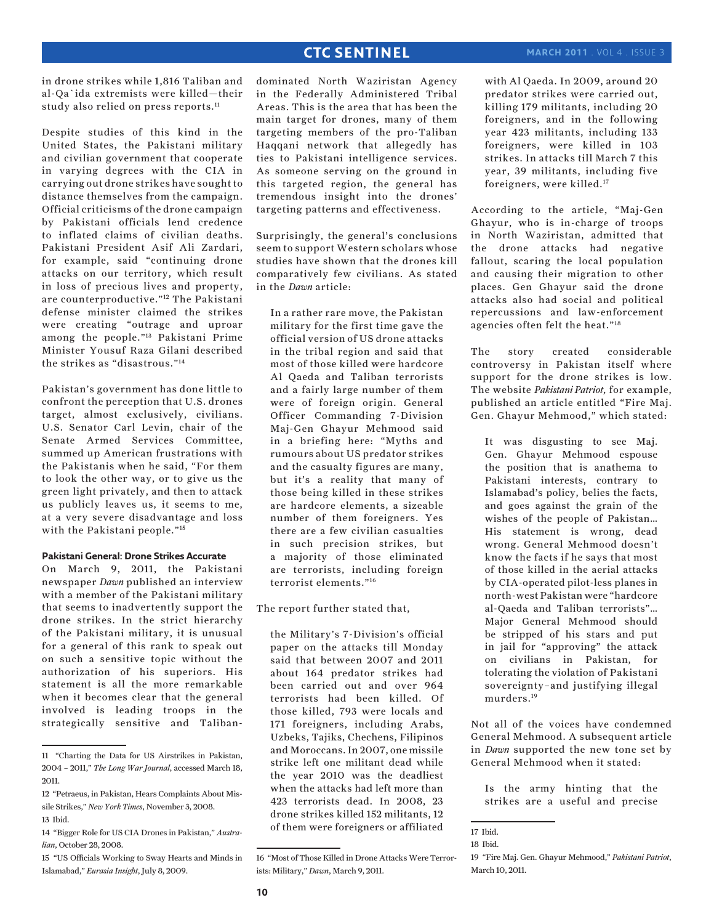in drone strikes while 1,816 Taliban and al-Qa`ida extremists were killed—their study also relied on press reports.<sup>11</sup>

Despite studies of this kind in the United States, the Pakistani military and civilian government that cooperate in varying degrees with the CIA in carrying out drone strikes have sought to distance themselves from the campaign. Official criticisms of the drone campaign by Pakistani officials lend credence to inflated claims of civilian deaths. Pakistani President Asif Ali Zardari, for example, said "continuing drone attacks on our territory, which result in loss of precious lives and property, are counterproductive."12 The Pakistani defense minister claimed the strikes were creating "outrage and uproar among the people."13 Pakistani Prime Minister Yousuf Raza Gilani described the strikes as "disastrous."14

Pakistan's government has done little to confront the perception that U.S. drones target, almost exclusively, civilians. U.S. Senator Carl Levin, chair of the Senate Armed Services Committee, summed up American frustrations with the Pakistanis when he said, "For them to look the other way, or to give us the green light privately, and then to attack us publicly leaves us, it seems to me, at a very severe disadvantage and loss with the Pakistani people."<sup>15</sup>

#### **Pakistani General: Drone Strikes Accurate**

On March 9, 2011, the Pakistani newspaper *Dawn* published an interview with a member of the Pakistani military that seems to inadvertently support the drone strikes. In the strict hierarchy of the Pakistani military, it is unusual for a general of this rank to speak out on such a sensitive topic without the authorization of his superiors. His statement is all the more remarkable when it becomes clear that the general involved is leading troops in the strategically sensitive and Talibandominated North Waziristan Agency in the Federally Administered Tribal Areas. This is the area that has been the main target for drones, many of them targeting members of the pro-Taliban Haqqani network that allegedly has ties to Pakistani intelligence services. As someone serving on the ground in this targeted region, the general has tremendous insight into the drones' targeting patterns and effectiveness.

Surprisingly, the general's conclusions seem to support Western scholars whose studies have shown that the drones kill comparatively few civilians. As stated in the *Dawn* article:

In a rather rare move, the Pakistan military for the first time gave the official version of US drone attacks in the tribal region and said that most of those killed were hardcore Al Qaeda and Taliban terrorists and a fairly large number of them were of foreign origin. General Officer Commanding 7-Division Maj-Gen Ghayur Mehmood said in a briefing here: "Myths and rumours about US predator strikes and the casualty figures are many, but it's a reality that many of those being killed in these strikes are hardcore elements, a sizeable number of them foreigners. Yes there are a few civilian casualties in such precision strikes, but a majority of those eliminated are terrorists, including foreign terrorist elements."16

The report further stated that,

the Military's 7-Division's official paper on the attacks till Monday said that between 2007 and 2011 about 164 predator strikes had been carried out and over 964 terrorists had been killed. Of those killed, 793 were locals and 171 foreigners, including Arabs, Uzbeks, Tajiks, Chechens, Filipinos and Moroccans. In 2007, one missile strike left one militant dead while the year 2010 was the deadliest when the attacks had left more than 423 terrorists dead. In 2008, 23 drone strikes killed 152 militants, 12 of them were foreigners or affiliated

16 "Most of Those Killed in Drone Attacks Were Terrorists: Military," *Dawn*, March 9, 2011.

with Al Qaeda. In 2009, around 20 predator strikes were carried out, killing 179 militants, including 20 foreigners, and in the following year 423 militants, including 133 foreigners, were killed in 103 strikes. In attacks till March 7 this year, 39 militants, including five foreigners, were killed.17

According to the article, "Maj-Gen Ghayur, who is in-charge of troops in North Waziristan, admitted that the drone attacks had negative fallout, scaring the local population and causing their migration to other places. Gen Ghayur said the drone attacks also had social and political repercussions and law-enforcement agencies often felt the heat."18

The story created considerable controversy in Pakistan itself where support for the drone strikes is low. The website *Pakistani Patriot*, for example, published an article entitled "Fire Maj. Gen. Ghayur Mehmood," which stated:

It was disgusting to see Maj. Gen. Ghayur Mehmood espouse the position that is anathema to Pakistani interests, contrary to Islamabad's policy, belies the facts, and goes against the grain of the wishes of the people of Pakistan… His statement is wrong, dead wrong. General Mehmood doesn't know the facts if he says that most of those killed in the aerial attacks by CIA-operated pilot-less planes in north-west Pakistan were "hardcore al-Qaeda and Taliban terrorists"… Major General Mehmood should be stripped of his stars and put in jail for "approving" the attack on civilians in Pakistan, for tolerating the violation of Pakistani sovereignty–and justifying illegal murders.19

Not all of the voices have condemned General Mehmood. A subsequent article in *Dawn* supported the new tone set by General Mehmood when it stated:

Is the army hinting that the strikes are a useful and precise

<sup>11 &</sup>quot;Charting the Data for US Airstrikes in Pakistan, 2004 – 2011," *The Long War Journal*, accessed March 18, 2011.

<sup>12 &</sup>quot;Petraeus, in Pakistan, Hears Complaints About Missile Strikes," *New York Times*, November 3, 2008. 13 Ibid.

<sup>14 &</sup>quot;Bigger Role for US CIA Drones in Pakistan," *Australian*, October 28, 2008.

<sup>15 &</sup>quot;US Officials Working to Sway Hearts and Minds in Islamabad," *Eurasia Insight*, July 8, 2009.

<sup>17</sup> Ibid.

<sup>18</sup> Ibid.

<sup>19 &</sup>quot;Fire Maj. Gen. Ghayur Mehmood," *Pakistani Patriot*, March 10, 2011.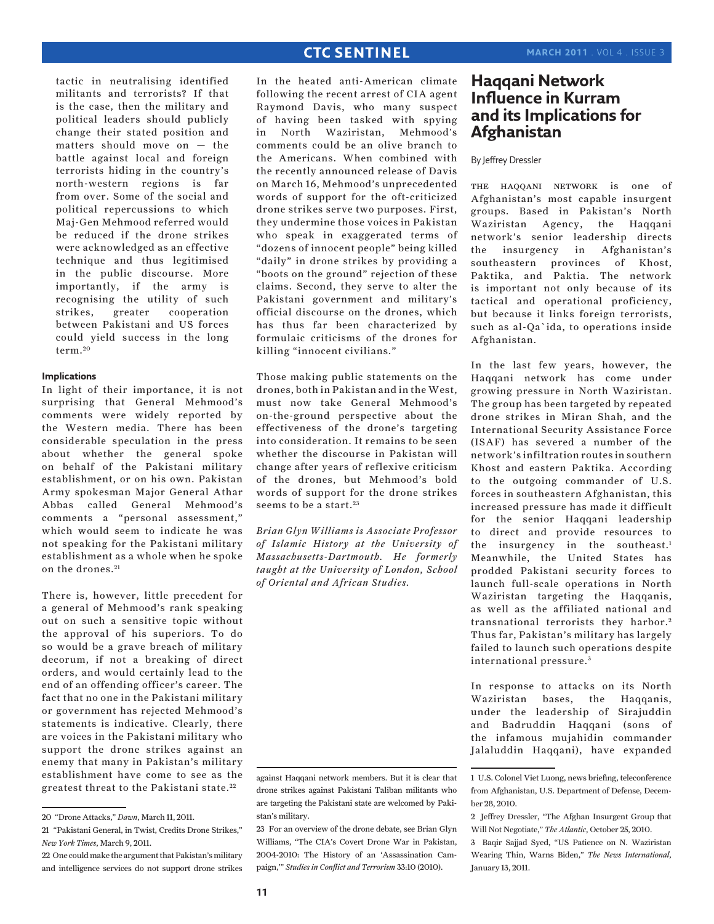tactic in neutralising identified militants and terrorists? If that is the case, then the military and political leaders should publicly change their stated position and matters should move on — the battle against local and foreign terrorists hiding in the country's north-western regions is far from over. Some of the social and political repercussions to which Maj-Gen Mehmood referred would be reduced if the drone strikes were acknowledged as an effective technique and thus legitimised in the public discourse. More importantly, if the army is recognising the utility of such strikes, greater cooperation between Pakistani and US forces could yield success in the long term. <sup>20</sup>

## **Implications**

In light of their importance, it is not surprising that General Mehmood's comments were widely reported by the Western media. There has been considerable speculation in the press about whether the general spoke on behalf of the Pakistani military establishment, or on his own. Pakistan Army spokesman Major General Athar Abbas called General Mehmood's comments a "personal assessment," which would seem to indicate he was not speaking for the Pakistani military establishment as a whole when he spoke on the drones.<sup>21</sup>

There is, however, little precedent for a general of Mehmood's rank speaking out on such a sensitive topic without the approval of his superiors. To do so would be a grave breach of military decorum, if not a breaking of direct orders, and would certainly lead to the end of an offending officer's career. The fact that no one in the Pakistani military or government has rejected Mehmood's statements is indicative. Clearly, there are voices in the Pakistani military who support the drone strikes against an enemy that many in Pakistan's military establishment have come to see as the greatest threat to the Pakistani state. <sup>22</sup>

In the heated anti-American climate following the recent arrest of CIA agent Raymond Davis, who many suspect of having been tasked with spying in North Waziristan, Mehmood's comments could be an olive branch to the Americans. When combined with the recently announced release of Davis on March 16, Mehmood's unprecedented words of support for the oft-criticized drone strikes serve two purposes. First, they undermine those voices in Pakistan who speak in exaggerated terms of "dozens of innocent people" being killed "daily" in drone strikes by providing a "boots on the ground" rejection of these claims. Second, they serve to alter the Pakistani government and military's official discourse on the drones, which has thus far been characterized by formulaic criticisms of the drones for killing "innocent civilians."

Those making public statements on the drones, both in Pakistan and in the West, must now take General Mehmood's on-the-ground perspective about the effectiveness of the drone's targeting into consideration. It remains to be seen whether the discourse in Pakistan will change after years of reflexive criticism of the drones, but Mehmood's bold words of support for the drone strikes seems to be a start.<sup>23</sup>

*Brian Glyn Williams is Associate Professor of Islamic History at the University of Massachusetts-Dartmouth. He formerly taught at the University of London, School of Oriental and African Studies.*



<sup>23</sup> For an overview of the drone debate, see Brian Glyn Williams, "The CIA's Covert Drone War in Pakistan, 2004-2010: The History of an 'Assassination Campaign,'" *Studies in Conflict and Terrorism* 33:10 (2010).

# **Haqqani Network Influence in Kurram and its Implications for Afghanistan**

## By Jeffrey Dressler

the haqqani network is one of Afghanistan's most capable insurgent groups. Based in Pakistan's North Waziristan Agency, the Haqqani network's senior leadership directs the insurgency in Afghanistan's southeastern provinces of Khost, Paktika, and Paktia. The network is important not only because of its tactical and operational proficiency, but because it links foreign terrorists, such as al-Qa`ida, to operations inside Afghanistan.

In the last few years, however, the Haqqani network has come under growing pressure in North Waziristan. The group has been targeted by repeated drone strikes in Miran Shah, and the International Security Assistance Force (ISAF) has severed a number of the network's infiltration routes in southern Khost and eastern Paktika. According to the outgoing commander of U.S. forces in southeastern Afghanistan, this increased pressure has made it difficult for the senior Haqqani leadership to direct and provide resources to the insurgency in the southeast.<sup>1</sup> Meanwhile, the United States has prodded Pakistani security forces to launch full-scale operations in North Waziristan targeting the Haqqanis, as well as the affiliated national and transnational terrorists they harbor.<sup>2</sup> Thus far, Pakistan's military has largely failed to launch such operations despite international pressure. <sup>3</sup>

In response to attacks on its North Waziristan bases, the Haqqanis, under the leadership of Sirajuddin and Badruddin Haqqani (sons of the infamous mujahidin commander Jalaluddin Haqqani), have expanded

3 Baqir Sajjad Syed, "US Patience on N. Waziristan Wearing Thin, Warns Biden," *The News International*, January 13, 2011.

<sup>20 &</sup>quot;Drone Attacks," *Dawn*, March 11, 2011.

<sup>21 &</sup>quot;Pakistani General, in Twist, Credits Drone Strikes," *New York Times*, March 9, 2011.

<sup>22</sup> One could make the argument that Pakistan's military and intelligence services do not support drone strikes

<sup>1</sup> U.S. Colonel Viet Luong, news briefing, teleconference from Afghanistan, U.S. Department of Defense, December 28, 2010.

<sup>2</sup> Jeffrey Dressler, "The Afghan Insurgent Group that Will Not Negotiate," *The Atlantic*, October 25, 2010.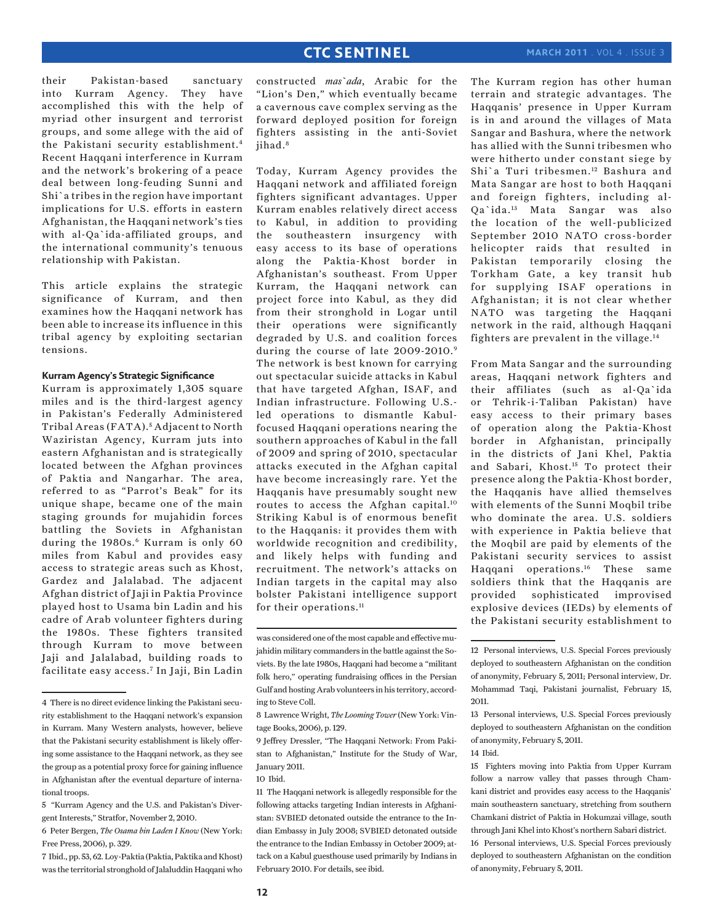their Pakistan-based sanctuary into Kurram Agency. They have accomplished this with the help of myriad other insurgent and terrorist groups, and some allege with the aid of the Pakistani security establishment.4 Recent Haqqani interference in Kurram and the network's brokering of a peace deal between long-feuding Sunni and Shi`a tribes in the region have important implications for U.S. efforts in eastern Afghanistan, the Haqqani network's ties with al-Qa`ida-affiliated groups, and the international community's tenuous relationship with Pakistan.

This article explains the strategic significance of Kurram, and then examines how the Haqqani network has been able to increase its influence in this tribal agency by exploiting sectarian tensions.

#### **Kurram Agency's Strategic Significance**

Kurram is approximately 1,305 square miles and is the third-largest agency in Pakistan's Federally Administered Tribal Areas (FATA). <sup>5</sup> Adjacent to North Waziristan Agency, Kurram juts into eastern Afghanistan and is strategically located between the Afghan provinces of Paktia and Nangarhar. The area, referred to as "Parrot's Beak" for its unique shape, became one of the main staging grounds for mujahidin forces battling the Soviets in Afghanistan during the 1980s.<sup>6</sup> Kurram is only 60 miles from Kabul and provides easy access to strategic areas such as Khost, Gardez and Jalalabad. The adjacent Afghan district of Jaji in Paktia Province played host to Usama bin Ladin and his cadre of Arab volunteer fighters during the 1980s. These fighters transited through Kurram to move between Jaji and Jalalabad, building roads to facilitate easy access.7 In Jaji, Bin Ladin

constructed *mas`ada*, Arabic for the "Lion's Den," which eventually became a cavernous cave complex serving as the forward deployed position for foreign fighters assisting in the anti-Soviet iihad.<sup>8</sup>

Today, Kurram Agency provides the Haqqani network and affiliated foreign fighters significant advantages. Upper Kurram enables relatively direct access to Kabul, in addition to providing the southeastern insurgency with easy access to its base of operations along the Paktia-Khost border in Afghanistan's southeast. From Upper Kurram, the Haqqani network can project force into Kabul, as they did from their stronghold in Logar until their operations were significantly degraded by U.S. and coalition forces during the course of late 2009-2010.9 The network is best known for carrying out spectacular suicide attacks in Kabul that have targeted Afghan, ISAF, and Indian infrastructure. Following U.S. led operations to dismantle Kabulfocused Haqqani operations nearing the southern approaches of Kabul in the fall of 2009 and spring of 2010, spectacular attacks executed in the Afghan capital have become increasingly rare. Yet the Haqqanis have presumably sought new routes to access the Afghan capital.<sup>10</sup> Striking Kabul is of enormous benefit to the Haqqanis: it provides them with worldwide recognition and credibility, and likely helps with funding and recruitment. The network's attacks on Indian targets in the capital may also bolster Pakistani intelligence support for their operations.<sup>11</sup>

The Kurram region has other human terrain and strategic advantages. The Haqqanis' presence in Upper Kurram is in and around the villages of Mata Sangar and Bashura, where the network has allied with the Sunni tribesmen who were hitherto under constant siege by Shi`a Turi tribesmen.12 Bashura and Mata Sangar are host to both Haqqani and foreign fighters, including al-Qa`ida.13 Mata Sangar was also the location of the well-publicized September 2010 NATO cross-border helicopter raids that resulted in Pakistan temporarily closing the Torkham Gate, a key transit hub for supplying ISAF operations in Afghanistan; it is not clear whether NATO was targeting the Haqqani network in the raid, although Haqqani fighters are prevalent in the village.14

From Mata Sangar and the surrounding areas, Haqqani network fighters and their affiliates (such as al-Qa`ida or Tehrik-i-Taliban Pakistan) have easy access to their primary bases of operation along the Paktia-Khost border in Afghanistan, principally in the districts of Jani Khel, Paktia and Sabari, Khost.15 To protect their presence along the Paktia-Khost border, the Haqqanis have allied themselves with elements of the Sunni Moqbil tribe who dominate the area. U.S. soldiers with experience in Paktia believe that the Moqbil are paid by elements of the Pakistani security services to assist Haqqani operations.16 These same soldiers think that the Haqqanis are provided sophisticated improvised explosive devices (IEDs) by elements of the Pakistani security establishment to

<sup>4</sup> There is no direct evidence linking the Pakistani security establishment to the Haqqani network's expansion in Kurram. Many Western analysts, however, believe that the Pakistani security establishment is likely offering some assistance to the Haqqani network, as they see the group as a potential proxy force for gaining influence in Afghanistan after the eventual departure of international troops.

<sup>5 &</sup>quot;Kurram Agency and the U.S. and Pakistan's Divergent Interests," Stratfor, November 2, 2010.

<sup>6</sup> Peter Bergen, *The Osama bin Laden I Know* (New York: Free Press, 2006), p. 329.

<sup>7</sup> Ibid., pp. 53, 62. Loy-Paktia (Paktia, Paktika and Khost) was the territorial stronghold of Jalaluddin Haqqani who

was considered one of the most capable and effective mujahidin military commanders in the battle against the Soviets. By the late 1980s, Haqqani had become a "militant folk hero," operating fundraising offices in the Persian Gulf and hosting Arab volunteers in his territory, according to Steve Coll.

<sup>8</sup> Lawrence Wright, *The Looming Tower* (New York: Vintage Books, 2006), p. 129.

<sup>9</sup> Jeffrey Dressler, "The Haqqani Network: From Pakistan to Afghanistan," Institute for the Study of War, January 2011.

<sup>10</sup> Ibid.

<sup>11</sup> The Haqqani network is allegedly responsible for the following attacks targeting Indian interests in Afghanistan: SVBIED detonated outside the entrance to the Indian Embassy in July 2008; SVBIED detonated outside the entrance to the Indian Embassy in October 2009; attack on a Kabul guesthouse used primarily by Indians in February 2010. For details, see ibid.

<sup>12</sup> Personal interviews, U.S. Special Forces previously deployed to southeastern Afghanistan on the condition of anonymity, February 5, 2011; Personal interview, Dr. Mohammad Taqi, Pakistani journalist, February 15, 2011.

<sup>13</sup> Personal interviews, U.S. Special Forces previously deployed to southeastern Afghanistan on the condition of anonymity, February 5, 2011.

<sup>14</sup> Ibid.

<sup>15</sup> Fighters moving into Paktia from Upper Kurram follow a narrow valley that passes through Chamkani district and provides easy access to the Haqqanis' main southeastern sanctuary, stretching from southern Chamkani district of Paktia in Hokumzai village, south through Jani Khel into Khost's northern Sabari district. 16 Personal interviews, U.S. Special Forces previously deployed to southeastern Afghanistan on the condition of anonymity, February 5, 2011.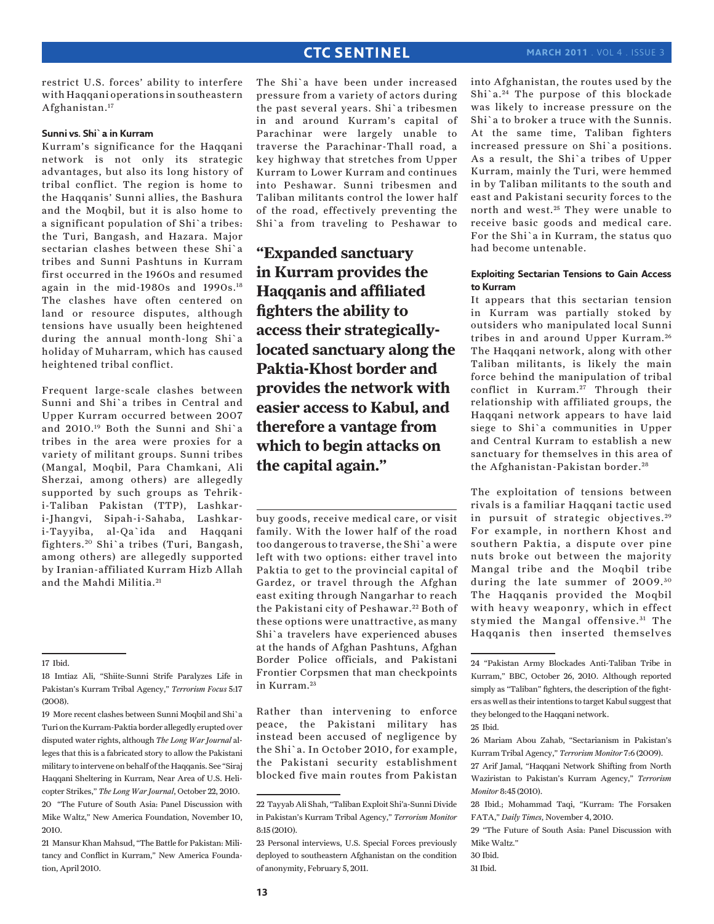restrict U.S. forces' ability to interfere with Haqqani operations in southeastern Afghanistan.17

## **Sunni vs. Shi`a in Kurram**

Kurram's significance for the Haqqani network is not only its strategic advantages, but also its long history of tribal conflict. The region is home to the Haqqanis' Sunni allies, the Bashura and the Moqbil, but it is also home to a significant population of Shi`a tribes: the Turi, Bangash, and Hazara. Major sectarian clashes between these Shi`a tribes and Sunni Pashtuns in Kurram first occurred in the 1960s and resumed again in the mid-1980s and 1990s.18 The clashes have often centered on land or resource disputes, although tensions have usually been heightened during the annual month-long Shi`a holiday of Muharram, which has caused heightened tribal conflict.

Frequent large-scale clashes between Sunni and Shi`a tribes in Central and Upper Kurram occurred between 2007 and 2010.19 Both the Sunni and Shi`a tribes in the area were proxies for a variety of militant groups. Sunni tribes (Mangal, Moqbil, Para Chamkani, Ali Sherzai, among others) are allegedly supported by such groups as Tehriki-Taliban Pakistan (TTP), Lashkari-Jhangvi, Sipah-i-Sahaba, Lashkari-Tayyiba, al-Qa`ida and Haqqani fighters. 20 Shi`a tribes (Turi, Bangash, among others) are allegedly supported by Iranian-affiliated Kurram Hizb Allah and the Mahdi Militia. <sup>21</sup>

The Shi`a have been under increased pressure from a variety of actors during the past several years. Shi`a tribesmen in and around Kurram's capital of Parachinar were largely unable to traverse the Parachinar-Thall road, a key highway that stretches from Upper Kurram to Lower Kurram and continues into Peshawar. Sunni tribesmen and Taliban militants control the lower half of the road, effectively preventing the Shi`a from traveling to Peshawar to

**"Expanded sanctuary in Kurram provides the Haqqanis and affiliated fighters the ability to access their strategicallylocated sanctuary along the Paktia-Khost border and provides the network with easier access to Kabul, and therefore a vantage from which to begin attacks on the capital again."**

buy goods, receive medical care, or visit family. With the lower half of the road too dangerous to traverse, the Shi`a were left with two options: either travel into Paktia to get to the provincial capital of Gardez, or travel through the Afghan east exiting through Nangarhar to reach the Pakistani city of Peshawar.<sup>22</sup> Both of these options were unattractive, as many Shi`a travelers have experienced abuses at the hands of Afghan Pashtuns, Afghan Border Police officials, and Pakistani Frontier Corpsmen that man checkpoints in Kurram.<sup>23</sup>

Rather than intervening to enforce peace, the Pakistani military has instead been accused of negligence by the Shi`a. In October 2010, for example, the Pakistani security establishment blocked five main routes from Pakistan into Afghanistan, the routes used by the Shi`a. 24 The purpose of this blockade was likely to increase pressure on the Shi`a to broker a truce with the Sunnis. At the same time, Taliban fighters increased pressure on Shi`a positions. As a result, the Shi`a tribes of Upper Kurram, mainly the Turi, were hemmed in by Taliban militants to the south and east and Pakistani security forces to the north and west.<sup>25</sup> They were unable to receive basic goods and medical care. For the Shi`a in Kurram, the status quo had become untenable.

## **Exploiting Sectarian Tensions to Gain Access to Kurram**

It appears that this sectarian tension in Kurram was partially stoked by outsiders who manipulated local Sunni tribes in and around Upper Kurram. <sup>26</sup> The Haqqani network, along with other Taliban militants, is likely the main force behind the manipulation of tribal conflict in Kurram.<sup>27</sup> Through their relationship with affiliated groups, the Haqqani network appears to have laid siege to Shi`a communities in Upper and Central Kurram to establish a new sanctuary for themselves in this area of the Afghanistan-Pakistan border.<sup>28</sup>

The exploitation of tensions between rivals is a familiar Haqqani tactic used in pursuit of strategic objectives.<sup>29</sup> For example, in northern Khost and southern Paktia, a dispute over pine nuts broke out between the majority Mangal tribe and the Moqbil tribe during the late summer of 2009.<sup>30</sup> The Haqqanis provided the Moqbil with heavy weaponry, which in effect stymied the Mangal offensive.<sup>31</sup> The Haqqanis then inserted themselves

26 Mariam Abou Zahab, "Sectarianism in Pakistan's Kurram Tribal Agency," *Terrorism Monitor* 7:6 (2009).

27 Arif Jamal, "Haqqani Network Shifting from North Waziristan to Pakistan's Kurram Agency," *Terrorism Monitor* 8:45 (2010).

29 "The Future of South Asia: Panel Discussion with Mike Waltz."

31 Ibid.

<sup>17</sup> Ibid.

<sup>18</sup> Imtiaz Ali, "Shiite-Sunni Strife Paralyzes Life in Pakistan's Kurram Tribal Agency," *Terrorism Focus* 5:17 (2008).

<sup>19</sup> More recent clashes between Sunni Moqbil and Shi`a Turi on the Kurram-Paktia border allegedly erupted over disputed water rights, although *The Long War Journal* alleges that this is a fabricated story to allow the Pakistani military to intervene on behalf of the Haqqanis. See "Siraj Haqqani Sheltering in Kurram, Near Area of U.S. Helicopter Strikes," *The Long War Journal*, October 22, 2010. 20 "The Future of South Asia: Panel Discussion with Mike Waltz," New America Foundation, November 10, 2010.

<sup>21</sup> Mansur Khan Mahsud, "The Battle for Pakistan: Militancy and Conflict in Kurram," New America Foundation, April 2010.

<sup>22</sup> Tayyab Ali Shah, "Taliban Exploit Shi'a-Sunni Divide in Pakistan's Kurram Tribal Agency," *Terrorism Monitor* 8:15 (2010).

<sup>23</sup> Personal interviews, U.S. Special Forces previously deployed to southeastern Afghanistan on the condition of anonymity, February 5, 2011.

<sup>24 &</sup>quot;Pakistan Army Blockades Anti-Taliban Tribe in Kurram," BBC, October 26, 2010. Although reported simply as "Taliban" fighters, the description of the fighters as well as their intentions to target Kabul suggest that they belonged to the Haqqani network.

<sup>25</sup> Ibid.

<sup>28</sup> Ibid.; Mohammad Taqi, "Kurram: The Forsaken FATA," *Daily Times*, November 4, 2010.

<sup>30</sup> Ibid.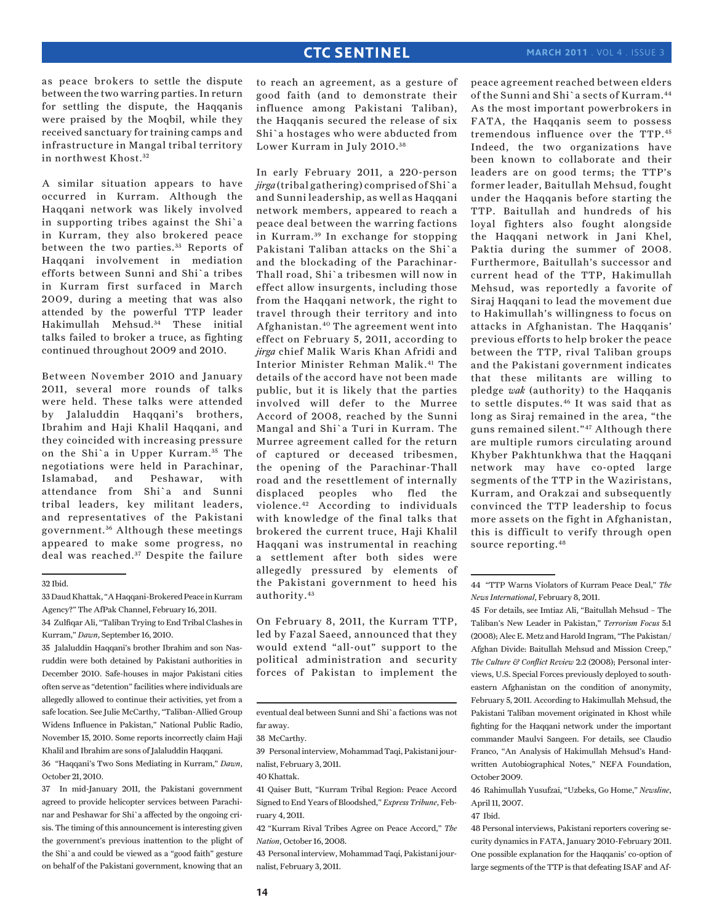as peace brokers to settle the dispute between the two warring parties. In return for settling the dispute, the Haqqanis were praised by the Moqbil, while they received sanctuary for training camps and infrastructure in Mangal tribal territory in northwest Khost.<sup>32</sup>

A similar situation appears to have occurred in Kurram. Although the Haqqani network was likely involved in supporting tribes against the Shi`a in Kurram, they also brokered peace between the two parties.<sup>33</sup> Reports of Haqqani involvement in mediation efforts between Sunni and Shi`a tribes in Kurram first surfaced in March 2009, during a meeting that was also attended by the powerful TTP leader Hakimullah Mehsud.34 These initial talks failed to broker a truce, as fighting continued throughout 2009 and 2010.

Between November 2010 and January 2011, several more rounds of talks were held. These talks were attended by Jalaluddin Haqqani's brothers, Ibrahim and Haji Khalil Haqqani, and they coincided with increasing pressure on the Shi`a in Upper Kurram. 35 The negotiations were held in Parachinar, Islamabad, and Peshawar, with attendance from Shi`a and Sunni tribal leaders, key militant leaders, and representatives of the Pakistani government. 36 Although these meetings appeared to make some progress, no deal was reached.<sup>37</sup> Despite the failure

#### 32 Ibid.

35 Jalaluddin Haqqani's brother Ibrahim and son Nasruddin were both detained by Pakistani authorities in December 2010. Safe-houses in major Pakistani cities often serve as "detention" facilities where individuals are allegedly allowed to continue their activities, yet from a safe location. See Julie McCarthy, "Taliban-Allied Group Widens Influence in Pakistan," National Public Radio, November 15, 2010. Some reports incorrectly claim Haji Khalil and Ibrahim are sons of Jalaluddin Haqqani.

36 "Haqqani's Two Sons Mediating in Kurram," *Dawn*, October 21, 2010.

37 In mid-January 2011, the Pakistani government agreed to provide helicopter services between Parachinar and Peshawar for Shi`a affected by the ongoing crisis. The timing of this announcement is interesting given the government's previous inattention to the plight of the Shi`a and could be viewed as a "good faith" gesture on behalf of the Pakistani government, knowing that an

to reach an agreement, as a gesture of good faith (and to demonstrate their influence among Pakistani Taliban), the Haqqanis secured the release of six Shi`a hostages who were abducted from Lower Kurram in July 2010. <sup>38</sup>

In early February 2011, a 220-person *jirga* (tribal gathering) comprised of Shi`a and Sunni leadership, as well as Haqqani network members, appeared to reach a peace deal between the warring factions in Kurram. 39 In exchange for stopping Pakistani Taliban attacks on the Shi`a and the blockading of the Parachinar-Thall road, Shi`a tribesmen will now in effect allow insurgents, including those from the Haqqani network, the right to travel through their territory and into Afghanistan.40 The agreement went into effect on February 5, 2011, according to *jirga* chief Malik Waris Khan Afridi and Interior Minister Rehman Malik.<sup>41</sup> The details of the accord have not been made public, but it is likely that the parties involved will defer to the Murree Accord of 2008, reached by the Sunni Mangal and Shi`a Turi in Kurram. The Murree agreement called for the return of captured or deceased tribesmen, the opening of the Parachinar-Thall road and the resettlement of internally displaced peoples who fled the violence.42 According to individuals with knowledge of the final talks that brokered the current truce, Haji Khalil Haqqani was instrumental in reaching a settlement after both sides were allegedly pressured by elements of the Pakistani government to heed his authority.43

On February 8, 2011, the Kurram TTP, led by Fazal Saeed, announced that they would extend "all-out" support to the political administration and security forces of Pakistan to implement the

39 Personal interview, Mohammad Taqi, Pakistani journalist, February 3, 2011.

41 Qaiser Butt, "Kurram Tribal Region: Peace Accord Signed to End Years of Bloodshed," *Express Tribune*, February 4, 2011.

42 "Kurram Rival Tribes Agree on Peace Accord," *The Nation*, October 16, 2008.

43 Personal interview, Mohammad Taqi, Pakistani journalist, February 3, 2011.

peace agreement reached between elders of the Sunni and Shi`a sects of Kurram.44 As the most important powerbrokers in FATA, the Haqqanis seem to possess tremendous influence over the TTP.45 Indeed, the two organizations have been known to collaborate and their leaders are on good terms; the TTP's former leader, Baitullah Mehsud, fought under the Haqqanis before starting the TTP. Baitullah and hundreds of his loyal fighters also fought alongside the Haqqani network in Jani Khel, Paktia during the summer of 2008. Furthermore, Baitullah's successor and current head of the TTP, Hakimullah Mehsud, was reportedly a favorite of Siraj Haqqani to lead the movement due to Hakimullah's willingness to focus on attacks in Afghanistan. The Haqqanis' previous efforts to help broker the peace between the TTP, rival Taliban groups and the Pakistani government indicates that these militants are willing to pledge *wak* (authority) to the Haqqanis to settle disputes.46 It was said that as long as Siraj remained in the area, "the guns remained silent."47 Although there are multiple rumors circulating around Khyber Pakhtunkhwa that the Haqqani network may have co-opted large segments of the TTP in the Waziristans, Kurram, and Orakzai and subsequently convinced the TTP leadership to focus more assets on the fight in Afghanistan, this is difficult to verify through open source reporting.48

45 For details, see Imtiaz Ali, "Baitullah Mehsud – The Taliban's New Leader in Pakistan," *Terrorism Focus* 5:1 (2008); Alec E. Metz and Harold Ingram, "The Pakistan/ Afghan Divide: Baitullah Mehsud and Mission Creep," *The Culture & Conflict Review* 2:2 (2008); Personal interviews, U.S. Special Forces previously deployed to southeastern Afghanistan on the condition of anonymity, February 5, 2011. According to Hakimullah Mehsud, the Pakistani Taliban movement originated in Khost while fighting for the Haqqani network under the important commander Maulvi Sangeen. For details, see Claudio Franco, "An Analysis of Hakimullah Mehsud's Handwritten Autobiographical Notes," NEFA Foundation, October 2009.

46 Rahimullah Yusufzai, "Uzbeks, Go Home," *Newsline*, April 11, 2007.

47 Ibid.

<sup>33</sup> Daud Khattak, "A Haqqani-Brokered Peace in Kurram Agency?" The AfPak Channel, February 16, 2011.

<sup>34</sup> Zulfiqar Ali, "Taliban Trying to End Tribal Clashes in Kurram," *Dawn*, September 16, 2010.

eventual deal between Sunni and Shi`a factions was not far away.

<sup>38</sup> McCarthy.

<sup>40</sup> Khattak.

<sup>44 &</sup>quot;TTP Warns Violators of Kurram Peace Deal," *The News International*, February 8, 2011.

<sup>48</sup> Personal interviews, Pakistani reporters covering security dynamics in FATA, January 2010-February 2011. One possible explanation for the Haqqanis' co-option of large segments of the TTP is that defeating ISAF and Af-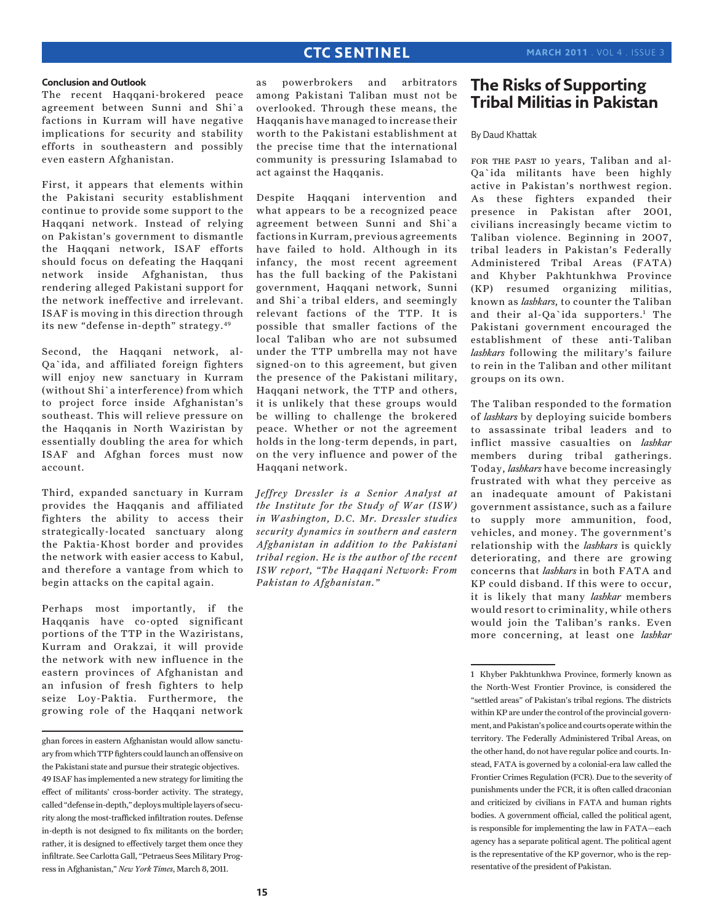#### **Conclusion and Outlook**

The recent Haqqani-brokered peace agreement between Sunni and Shi`a factions in Kurram will have negative implications for security and stability efforts in southeastern and possibly even eastern Afghanistan.

First, it appears that elements within the Pakistani security establishment continue to provide some support to the Haqqani network. Instead of relying on Pakistan's government to dismantle the Haqqani network, ISAF efforts should focus on defeating the Haqqani network inside Afghanistan, thus rendering alleged Pakistani support for the network ineffective and irrelevant. ISAF is moving in this direction through its new "defense in-depth" strategy.49

Second, the Haqqani network, al-Qa`ida, and affiliated foreign fighters will enjoy new sanctuary in Kurram (without Shi`a interference) from which to project force inside Afghanistan's southeast. This will relieve pressure on the Haqqanis in North Waziristan by essentially doubling the area for which ISAF and Afghan forces must now account.

Third, expanded sanctuary in Kurram provides the Haqqanis and affiliated fighters the ability to access their strategically-located sanctuary along the Paktia-Khost border and provides the network with easier access to Kabul, and therefore a vantage from which to begin attacks on the capital again.

Perhaps most importantly, if the Haqqanis have co-opted significant portions of the TTP in the Waziristans, Kurram and Orakzai, it will provide the network with new influence in the eastern provinces of Afghanistan and an infusion of fresh fighters to help seize Loy-Paktia. Furthermore, the growing role of the Haqqani network as powerbrokers and arbitrators among Pakistani Taliban must not be overlooked. Through these means, the Haqqanis have managed to increase their worth to the Pakistani establishment at the precise time that the international community is pressuring Islamabad to act against the Haqqanis.

Despite Haqqani intervention and what appears to be a recognized peace agreement between Sunni and Shi`a factions in Kurram, previous agreements have failed to hold. Although in its infancy, the most recent agreement has the full backing of the Pakistani government, Haqqani network, Sunni and Shi`a tribal elders, and seemingly relevant factions of the TTP. It is possible that smaller factions of the local Taliban who are not subsumed under the TTP umbrella may not have signed-on to this agreement, but given the presence of the Pakistani military, Haqqani network, the TTP and others, it is unlikely that these groups would be willing to challenge the brokered peace. Whether or not the agreement holds in the long-term depends, in part, on the very influence and power of the Haqqani network.

*Jeffrey Dressler is a Senior Analyst at the Institute for the Study of War (ISW) in Washington, D.C. Mr. Dressler studies security dynamics in southern and eastern Afghanistan in addition to the Pakistani tribal region. He is the author of the recent ISW report, "The Haqqani Network: From Pakistan to Afghanistan."*

# **The Risks of Supporting Tribal Militias in Pakistan**

### By Daud Khattak

for the past 10 years, Taliban and al-Qa`ida militants have been highly active in Pakistan's northwest region. As these fighters expanded their presence in Pakistan after 2001, civilians increasingly became victim to Taliban violence. Beginning in 2007, tribal leaders in Pakistan's Federally Administered Tribal Areas (FATA) and Khyber Pakhtunkhwa Province (KP) resumed organizing militias, known as *lashkars*, to counter the Taliban and their al-Qa`ida supporters.<sup>1</sup> The Pakistani government encouraged the establishment of these anti-Taliban *lashkars* following the military's failure to rein in the Taliban and other militant groups on its own.

The Taliban responded to the formation of *lashkars* by deploying suicide bombers to assassinate tribal leaders and to inflict massive casualties on *lashkar* members during tribal gatherings. Today, *lashkars* have become increasingly frustrated with what they perceive as an inadequate amount of Pakistani government assistance, such as a failure to supply more ammunition, food, vehicles, and money. The government's relationship with the *lashkars* is quickly deteriorating, and there are growing concerns that *lashkars* in both FATA and KP could disband. If this were to occur, it is likely that many *lashkar* members would resort to criminality, while others would join the Taliban's ranks. Even more concerning, at least one *lashkar*

ghan forces in eastern Afghanistan would allow sanctuary from which TTP fighters could launch an offensive on the Pakistani state and pursue their strategic objectives. 49 ISAF has implemented a new strategy for limiting the effect of militants' cross-border activity. The strategy, called "defense in-depth," deploys multiple layers of security along the most-trafficked infiltration routes. Defense in-depth is not designed to fix militants on the border; rather, it is designed to effectively target them once they infiltrate. See Carlotta Gall, "Petraeus Sees Military Progress in Afghanistan," *New York Times*, March 8, 2011.

<sup>1</sup> Khyber Pakhtunkhwa Province, formerly known as the North-West Frontier Province, is considered the "settled areas" of Pakistan's tribal regions. The districts within KP are under the control of the provincial government, and Pakistan's police and courts operate within the territory. The Federally Administered Tribal Areas, on the other hand, do not have regular police and courts. Instead, FATA is governed by a colonial-era law called the Frontier Crimes Regulation (FCR). Due to the severity of punishments under the FCR, it is often called draconian and criticized by civilians in FATA and human rights bodies. A government official, called the political agent, is responsible for implementing the law in FATA—each agency has a separate political agent. The political agent is the representative of the KP governor, who is the representative of the president of Pakistan.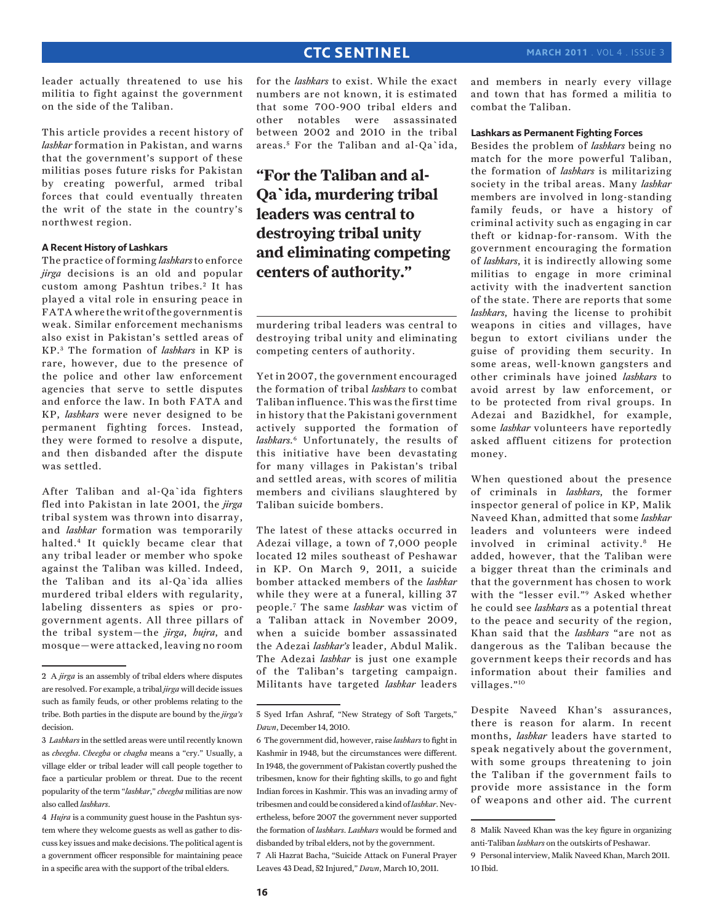leader actually threatened to use his militia to fight against the government on the side of the Taliban.

This article provides a recent history of *lashkar* formation in Pakistan, and warns that the government's support of these militias poses future risks for Pakistan by creating powerful, armed tribal forces that could eventually threaten the writ of the state in the country's northwest region.

## **A Recent History of Lashkars**

The practice of forming *lashkars* to enforce *jirga* decisions is an old and popular custom among Pashtun tribes.<sup>2</sup> It has played a vital role in ensuring peace in FATA where the writ of the government is weak. Similar enforcement mechanisms also exist in Pakistan's settled areas of KP. 3 The formation of *lashkars* in KP is rare, however, due to the presence of the police and other law enforcement agencies that serve to settle disputes and enforce the law. In both FATA and KP, *lashkars* were never designed to be permanent fighting forces. Instead, they were formed to resolve a dispute, and then disbanded after the dispute was settled.

After Taliban and al-Qa`ida fighters fled into Pakistan in late 2001, the *jirga* tribal system was thrown into disarray, and *lashkar* formation was temporarily halted.4 It quickly became clear that any tribal leader or member who spoke against the Taliban was killed. Indeed, the Taliban and its al-Qa`ida allies murdered tribal elders with regularity, labeling dissenters as spies or progovernment agents. All three pillars of the tribal system—the *jirga*, *hujra*, and mosque—were attacked, leaving no room

for the *lashkars* to exist. While the exact numbers are not known, it is estimated that some 700-900 tribal elders and other notables were assassinated between 2002 and 2010 in the tribal areas.<sup>5</sup> For the Taliban and al-Qa`ida,

# **"For the Taliban and al-Qa`ida, murdering tribal leaders was central to destroying tribal unity and eliminating competing centers of authority."**

murdering tribal leaders was central to destroying tribal unity and eliminating competing centers of authority.

Yet in 2007, the government encouraged the formation of tribal *lashkars* to combat Taliban influence. This was the first time in history that the Pakistani government actively supported the formation of *lashkars*. 6 Unfortunately, the results of this initiative have been devastating for many villages in Pakistan's tribal and settled areas, with scores of militia members and civilians slaughtered by Taliban suicide bombers.

The latest of these attacks occurred in Adezai village, a town of 7,000 people located 12 miles southeast of Peshawar in KP. On March 9, 2011, a suicide bomber attacked members of the *lashkar* while they were at a funeral, killing 37 people.7 The same *lashkar* was victim of a Taliban attack in November 2009, when a suicide bomber assassinated the Adezai *lashkar's* leader, Abdul Malik. The Adezai *lashkar* is just one example of the Taliban's targeting campaign. Militants have targeted *lashkar* leaders

7 Ali Hazrat Bacha, "Suicide Attack on Funeral Prayer Leaves 43 Dead, 52 Injured," *Dawn*, March 10, 2011.

and members in nearly every village and town that has formed a militia to combat the Taliban.

## **Lashkars as Permanent Fighting Forces**

Besides the problem of *lashkars* being no match for the more powerful Taliban, the formation of *lashkars* is militarizing society in the tribal areas. Many *lashkar* members are involved in long-standing family feuds, or have a history of criminal activity such as engaging in car theft or kidnap-for-ransom. With the government encouraging the formation of *lashkars*, it is indirectly allowing some militias to engage in more criminal activity with the inadvertent sanction of the state. There are reports that some *lashkars*, having the license to prohibit weapons in cities and villages, have begun to extort civilians under the guise of providing them security. In some areas, well-known gangsters and other criminals have joined *lashkars* to avoid arrest by law enforcement, or to be protected from rival groups. In Adezai and Bazidkhel, for example, some *lashkar* volunteers have reportedly asked affluent citizens for protection money.

When questioned about the presence of criminals in *lashkars*, the former inspector general of police in KP, Malik Naveed Khan, admitted that some *lashkar* leaders and volunteers were indeed involved in criminal activity.8 He added, however, that the Taliban were a bigger threat than the criminals and that the government has chosen to work with the "lesser evil."9 Asked whether he could see *lashkars* as a potential threat to the peace and security of the region, Khan said that the *lashkars* "are not as dangerous as the Taliban because the government keeps their records and has information about their families and villages."10

Despite Naveed Khan's assurances, there is reason for alarm. In recent months, *lashkar* leaders have started to speak negatively about the government, with some groups threatening to join the Taliban if the government fails to provide more assistance in the form of weapons and other aid. The current

<sup>2</sup> A *jirga* is an assembly of tribal elders where disputes are resolved. For example, a tribal *jirga* will decide issues such as family feuds, or other problems relating to the tribe. Both parties in the dispute are bound by the *jirga's* decision.

<sup>3</sup> *Lashkars* in the settled areas were until recently known as *cheegha*. *Cheegha* or *chagha* means a "cry." Usually, a village elder or tribal leader will call people together to face a particular problem or threat. Due to the recent popularity of the term "*lashkar*," *cheegha* militias are now also called *lashkars*.

<sup>4</sup> *Hujra* is a community guest house in the Pashtun system where they welcome guests as well as gather to discuss key issues and make decisions. The political agent is a government officer responsible for maintaining peace in a specific area with the support of the tribal elders.

<sup>5</sup> Syed Irfan Ashraf, "New Strategy of Soft Targets," *Dawn*, December 14, 2010.

<sup>6</sup> The government did, however, raise *lashkars* to fight in Kashmir in 1948, but the circumstances were different. In 1948, the government of Pakistan covertly pushed the tribesmen, know for their fighting skills, to go and fight Indian forces in Kashmir. This was an invading army of tribesmen and could be considered a kind of *lashkar*. Nevertheless, before 2007 the government never supported the formation of *lashkars*. *Lashkars* would be formed and disbanded by tribal elders, not by the government.

<sup>8</sup> Malik Naveed Khan was the key figure in organizing anti-Taliban *lashkars* on the outskirts of Peshawar.

<sup>9</sup> Personal interview, Malik Naveed Khan, March 2011. 10 Ibid.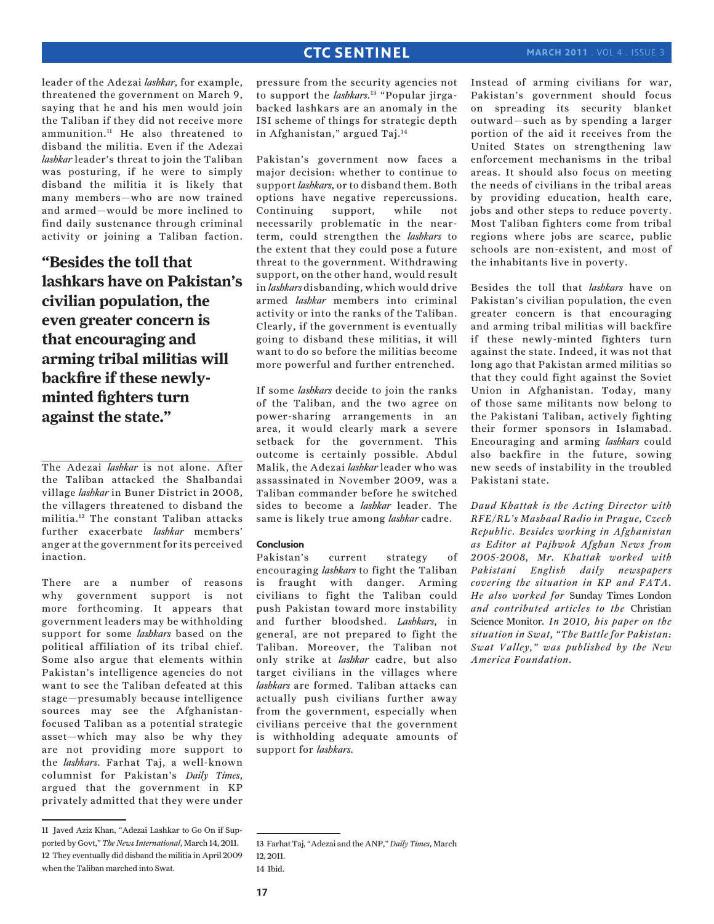leader of the Adezai *lashkar*, for example, threatened the government on March 9, saying that he and his men would join the Taliban if they did not receive more ammunition.11 He also threatened to disband the militia. Even if the Adezai *lashkar* leader's threat to join the Taliban was posturing, if he were to simply disband the militia it is likely that many members—who are now trained and armed—would be more inclined to find daily sustenance through criminal activity or joining a Taliban faction.

**"Besides the toll that lashkars have on Pakistan's civilian population, the even greater concern is that encouraging and arming tribal militias will backfire if these newlyminted fighters turn against the state."**

The Adezai *lashkar* is not alone. After the Taliban attacked the Shalbandai village *lashkar* in Buner District in 2008, the villagers threatened to disband the militia.12 The constant Taliban attacks further exacerbate *lashkar* members' anger at the government for its perceived inaction.

There are a number of reasons why government support is not more forthcoming. It appears that government leaders may be withholding support for some *lashkars* based on the political affiliation of its tribal chief. Some also argue that elements within Pakistan's intelligence agencies do not want to see the Taliban defeated at this stage—presumably because intelligence sources may see the Afghanistanfocused Taliban as a potential strategic asset—which may also be why they are not providing more support to the *lashkars*. Farhat Taj, a well-known columnist for Pakistan's *Daily Times*, argued that the government in KP privately admitted that they were under

pressure from the security agencies not to support the *lashkars*. 13 "Popular jirgabacked lashkars are an anomaly in the ISI scheme of things for strategic depth in Afghanistan," argued Taj.14

Pakistan's government now faces a major decision: whether to continue to support *lashkars*, or to disband them. Both options have negative repercussions. Continuing support, while not necessarily problematic in the nearterm, could strengthen the *lashkars* to the extent that they could pose a future threat to the government. Withdrawing support, on the other hand, would result in *lashkars* disbanding, which would drive armed *lashkar* members into criminal activity or into the ranks of the Taliban. Clearly, if the government is eventually going to disband these militias, it will want to do so before the militias become more powerful and further entrenched.

If some *lashkars* decide to join the ranks of the Taliban, and the two agree on power-sharing arrangements in an area, it would clearly mark a severe setback for the government. This outcome is certainly possible. Abdul Malik, the Adezai *lashkar* leader who was assassinated in November 2009, was a Taliban commander before he switched sides to become a *lashkar* leader. The same is likely true among *lashkar* cadre.

## **Conclusion**

Pakistan's current strategy of encouraging *lashkars* to fight the Taliban is fraught with danger. Arming civilians to fight the Taliban could push Pakistan toward more instability and further bloodshed. *Lashkars*, in general, are not prepared to fight the Taliban. Moreover, the Taliban not only strike at *lashkar* cadre, but also target civilians in the villages where *lashkars* are formed. Taliban attacks can actually push civilians further away from the government, especially when civilians perceive that the government is withholding adequate amounts of support for *lashkars*.

Instead of arming civilians for war, Pakistan's government should focus on spreading its security blanket outward—such as by spending a larger portion of the aid it receives from the United States on strengthening law enforcement mechanisms in the tribal areas. It should also focus on meeting the needs of civilians in the tribal areas by providing education, health care, jobs and other steps to reduce poverty. Most Taliban fighters come from tribal regions where jobs are scarce, public schools are non-existent, and most of the inhabitants live in poverty.

Besides the toll that *lashkars* have on Pakistan's civilian population, the even greater concern is that encouraging and arming tribal militias will backfire if these newly-minted fighters turn against the state. Indeed, it was not that long ago that Pakistan armed militias so that they could fight against the Soviet Union in Afghanistan. Today, many of those same militants now belong to the Pakistani Taliban, actively fighting their former sponsors in Islamabad. Encouraging and arming *lashkars* could also backfire in the future, sowing new seeds of instability in the troubled Pakistani state.

*Daud Khattak is the Acting Director with RFE/RL's Mashaal Radio in Prague, Czech Republic. Besides working in Afghanistan as Editor at Pajhwok Afghan News from 2005-2008, Mr. Khattak worked with Pakistani English daily newspapers covering the situation in KP and FATA. He also worked for* Sunday Times London *and contributed articles to the* Christian Science Monitor*. In 2010, his paper on the situation in Swat, "The Battle for Pakistan: Swat Valley," was published by the New America Foundation.*

<sup>11</sup> Javed Aziz Khan, "Adezai Lashkar to Go On if Supported by Govt," *The News International*, March 14, 2011. 12 They eventually did disband the militia in April 2009 when the Taliban marched into Swat.

<sup>13</sup> Farhat Taj, "Adezai and the ANP," *Daily Times*, March 12, 2011. 14 Ibid.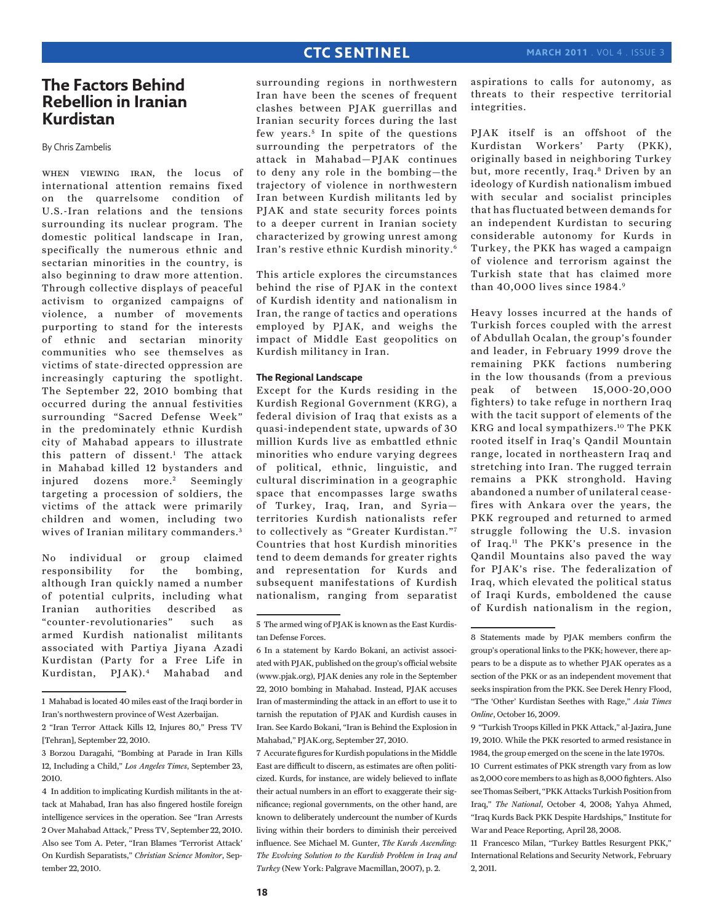# **The Factors Behind Rebellion in Iranian Kurdistan**

By Chris Zambelis

when viewing iran, the locus of international attention remains fixed on the quarrelsome condition of U.S.-Iran relations and the tensions surrounding its nuclear program. The domestic political landscape in Iran, specifically the numerous ethnic and sectarian minorities in the country, is also beginning to draw more attention. Through collective displays of peaceful activism to organized campaigns of violence, a number of movements purporting to stand for the interests of ethnic and sectarian minority communities who see themselves as victims of state-directed oppression are increasingly capturing the spotlight. The September 22, 2010 bombing that occurred during the annual festivities surrounding "Sacred Defense Week" in the predominately ethnic Kurdish city of Mahabad appears to illustrate this pattern of dissent.1 The attack in Mahabad killed 12 bystanders and injured dozens more.<sup>2</sup> Seemingly targeting a procession of soldiers, the victims of the attack were primarily children and women, including two wives of Iranian military commanders. <sup>3</sup>

No individual or group claimed responsibility for the bombing, although Iran quickly named a number of potential culprits, including what Iranian authorities described as "counter-revolutionaries" such as armed Kurdish nationalist militants associated with Partiya Jiyana Azadi Kurdistan (Party for a Free Life in Kurdistan, PJAK).4 Mahabad and

surrounding regions in northwestern Iran have been the scenes of frequent clashes between PJAK guerrillas and Iranian security forces during the last few years.<sup>5</sup> In spite of the questions surrounding the perpetrators of the attack in Mahabad—PJAK continues to deny any role in the bombing—the trajectory of violence in northwestern Iran between Kurdish militants led by PJAK and state security forces points to a deeper current in Iranian society characterized by growing unrest among Iran's restive ethnic Kurdish minority.6

This article explores the circumstances behind the rise of PJAK in the context of Kurdish identity and nationalism in Iran, the range of tactics and operations employed by PJAK, and weighs the impact of Middle East geopolitics on Kurdish militancy in Iran.

## **The Regional Landscape**

Except for the Kurds residing in the Kurdish Regional Government (KRG), a federal division of Iraq that exists as a quasi-independent state, upwards of 30 million Kurds live as embattled ethnic minorities who endure varying degrees of political, ethnic, linguistic, and cultural discrimination in a geographic space that encompasses large swaths of Turkey, Iraq, Iran, and Syria territories Kurdish nationalists refer to collectively as "Greater Kurdistan."7 Countries that host Kurdish minorities tend to deem demands for greater rights and representation for Kurds and subsequent manifestations of Kurdish nationalism, ranging from separatist

7 Accurate figures for Kurdish populations in the Middle East are difficult to discern, as estimates are often politicized. Kurds, for instance, are widely believed to inflate their actual numbers in an effort to exaggerate their significance; regional governments, on the other hand, are known to deliberately undercount the number of Kurds living within their borders to diminish their perceived influence. See Michael M. Gunter, *The Kurds Ascending: The Evolving Solution to the Kurdish Problem in Iraq and Turkey* (New York: Palgrave Macmillan, 2007), p. 2.

aspirations to calls for autonomy, as threats to their respective territorial integrities.

PJAK itself is an offshoot of the Kurdistan Workers' Party (PKK), originally based in neighboring Turkey but, more recently, Iraq.8 Driven by an ideology of Kurdish nationalism imbued with secular and socialist principles that has fluctuated between demands for an independent Kurdistan to securing considerable autonomy for Kurds in Turkey, the PKK has waged a campaign of violence and terrorism against the Turkish state that has claimed more than 40,000 lives since 1984.9

Heavy losses incurred at the hands of Turkish forces coupled with the arrest of Abdullah Ocalan, the group's founder and leader, in February 1999 drove the remaining PKK factions numbering in the low thousands (from a previous peak of between 15,000-20,000 fighters) to take refuge in northern Iraq with the tacit support of elements of the KRG and local sympathizers.10 The PKK rooted itself in Iraq's Qandil Mountain range, located in northeastern Iraq and stretching into Iran. The rugged terrain remains a PKK stronghold. Having abandoned a number of unilateral ceasefires with Ankara over the years, the PKK regrouped and returned to armed struggle following the U.S. invasion of Iraq.11 The PKK's presence in the Qandil Mountains also paved the way for PJAK's rise. The federalization of Iraq, which elevated the political status of Iraqi Kurds, emboldened the cause of Kurdish nationalism in the region,

<sup>1</sup> Mahabad is located 40 miles east of the Iraqi border in Iran's northwestern province of West Azerbaijan.

<sup>2 &</sup>quot;Iran Terror Attack Kills 12, Injures 80," Press TV [Tehran], September 22, 2010.

<sup>3</sup> Borzou Daragahi, "Bombing at Parade in Iran Kills 12, Including a Child," *Los Angeles Times*, September 23, 2010.

<sup>4</sup> In addition to implicating Kurdish militants in the attack at Mahabad, Iran has also fingered hostile foreign intelligence services in the operation. See "Iran Arrests 2 Over Mahabad Attack," Press TV, September 22, 2010. Also see Tom A. Peter, "Iran Blames 'Terrorist Attack' On Kurdish Separatists," *Christian Science Monitor*, September 22, 2010.

<sup>5</sup> The armed wing of PJAK is known as the East Kurdistan Defense Forces.

<sup>6</sup> In a statement by Kardo Bokani, an activist associated with PJAK, published on the group's official website (www.pjak.org), PJAK denies any role in the September 22, 2010 bombing in Mahabad. Instead, PJAK accuses Iran of masterminding the attack in an effort to use it to tarnish the reputation of PJAK and Kurdish causes in Iran. See Kardo Bokani, "Iran is Behind the Explosion in Mahabad," PJAK.org, September 27, 2010.

<sup>8</sup> Statements made by PJAK members confirm the group's operational links to the PKK; however, there appears to be a dispute as to whether PJAK operates as a section of the PKK or as an independent movement that seeks inspiration from the PKK. See Derek Henry Flood, "The 'Other' Kurdistan Seethes with Rage," *Asia Times Online*, October 16, 2009.

<sup>9 &</sup>quot;Turkish Troops Killed in PKK Attack," al-Jazira, June 19, 2010. While the PKK resorted to armed resistance in 1984, the group emerged on the scene in the late 1970s.

<sup>10</sup> Current estimates of PKK strength vary from as low as 2,000 core members to as high as 8,000 fighters. Also see Thomas Seibert, "PKK Attacks Turkish Position from Iraq," *The National*, October 4, 2008; Yahya Ahmed, "Iraq Kurds Back PKK Despite Hardships," Institute for War and Peace Reporting, April 28, 2008.

<sup>11</sup> Francesco Milan, "Turkey Battles Resurgent PKK," International Relations and Security Network, February 2, 2011.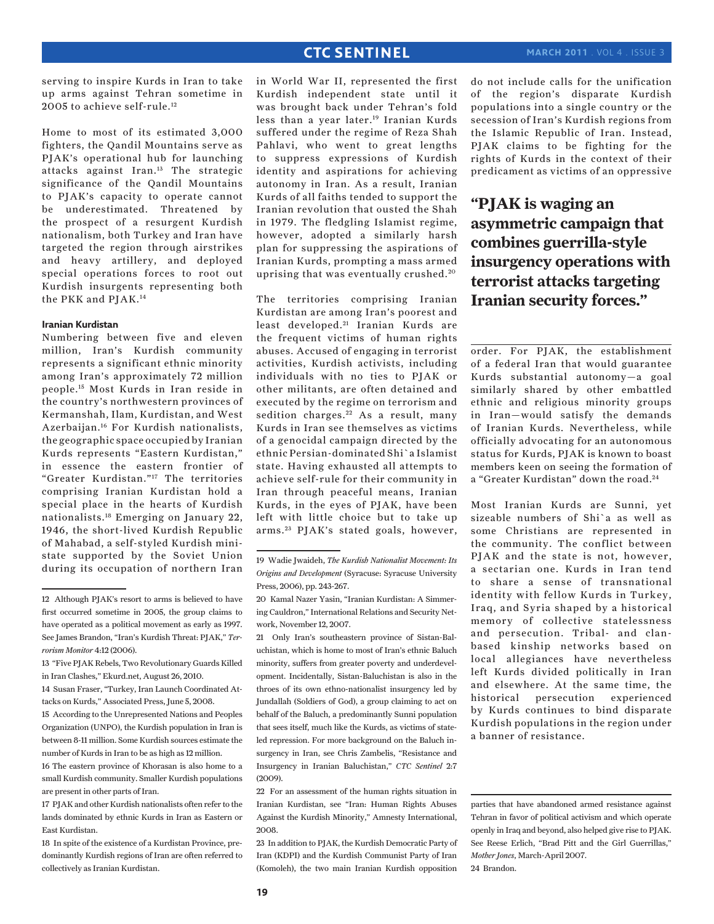serving to inspire Kurds in Iran to take up arms against Tehran sometime in 2005 to achieve self-rule.12

Home to most of its estimated 3,000 fighters, the Qandil Mountains serve as PJAK's operational hub for launching attacks against Iran.13 The strategic significance of the Qandil Mountains to PJAK's capacity to operate cannot be underestimated. Threatened by the prospect of a resurgent Kurdish nationalism, both Turkey and Iran have targeted the region through airstrikes and heavy artillery, and deployed special operations forces to root out Kurdish insurgents representing both the PKK and PJAK.14

## **Iranian Kurdistan**

Numbering between five and eleven million, Iran's Kurdish community represents a significant ethnic minority among Iran's approximately 72 million people.15 Most Kurds in Iran reside in the country's northwestern provinces of Kermanshah, Ilam, Kurdistan, and West Azerbaijan.16 For Kurdish nationalists, the geographic space occupied by Iranian Kurds represents "Eastern Kurdistan," in essence the eastern frontier of "Greater Kurdistan."17 The territories comprising Iranian Kurdistan hold a special place in the hearts of Kurdish nationalists.18 Emerging on January 22, 1946, the short-lived Kurdish Republic of Mahabad, a self-styled Kurdish ministate supported by the Soviet Union during its occupation of northern Iran

18 In spite of the existence of a Kurdistan Province, predominantly Kurdish regions of Iran are often referred to collectively as Iranian Kurdistan.

in World War II, represented the first Kurdish independent state until it was brought back under Tehran's fold less than a year later.<sup>19</sup> Iranian Kurds suffered under the regime of Reza Shah Pahlavi, who went to great lengths to suppress expressions of Kurdish identity and aspirations for achieving autonomy in Iran. As a result, Iranian Kurds of all faiths tended to support the Iranian revolution that ousted the Shah in 1979. The fledgling Islamist regime, however, adopted a similarly harsh plan for suppressing the aspirations of Iranian Kurds, prompting a mass armed uprising that was eventually crushed.<sup>20</sup>

The territories comprising Iranian Kurdistan are among Iran's poorest and least developed.<sup>21</sup> Iranian Kurds are the frequent victims of human rights abuses. Accused of engaging in terrorist activities, Kurdish activists, including individuals with no ties to PJAK or other militants, are often detained and executed by the regime on terrorism and sedition charges.<sup>22</sup> As a result, many Kurds in Iran see themselves as victims of a genocidal campaign directed by the ethnic Persian-dominated Shi`a Islamist state. Having exhausted all attempts to achieve self-rule for their community in Iran through peaceful means, Iranian Kurds, in the eyes of PJAK, have been left with little choice but to take up arms. 23 PJAK's stated goals, however,

21 Only Iran's southeastern province of Sistan-Baluchistan, which is home to most of Iran's ethnic Baluch minority, suffers from greater poverty and underdevelopment. Incidentally, Sistan-Baluchistan is also in the throes of its own ethno-nationalist insurgency led by Jundallah (Soldiers of God), a group claiming to act on behalf of the Baluch, a predominantly Sunni population that sees itself, much like the Kurds, as victims of stateled repression. For more background on the Baluch insurgency in Iran, see Chris Zambelis, "Resistance and Insurgency in Iranian Baluchistan," *CTC Sentinel* 2:7 (2009).

22 For an assessment of the human rights situation in Iranian Kurdistan, see "Iran: Human Rights Abuses Against the Kurdish Minority," Amnesty International, 2008.

23 In addition to PJAK, the Kurdish Democratic Party of Iran (KDPI) and the Kurdish Communist Party of Iran (Komoleh), the two main Iranian Kurdish opposition do not include calls for the unification of the region's disparate Kurdish populations into a single country or the secession of Iran's Kurdish regions from the Islamic Republic of Iran. Instead, PJAK claims to be fighting for the rights of Kurds in the context of their predicament as victims of an oppressive

**"PJAK is waging an asymmetric campaign that combines guerrilla-style insurgency operations with terrorist attacks targeting Iranian security forces."**

order. For PJAK, the establishment of a federal Iran that would guarantee Kurds substantial autonomy—a goal similarly shared by other embattled ethnic and religious minority groups in Iran—would satisfy the demands of Iranian Kurds. Nevertheless, while officially advocating for an autonomous status for Kurds, PJAK is known to boast members keen on seeing the formation of a "Greater Kurdistan" down the road.<sup>24</sup>

Most Iranian Kurds are Sunni, yet sizeable numbers of Shi`a as well as some Christians are represented in the community. The conflict between PJAK and the state is not, however, a sectarian one. Kurds in Iran tend to share a sense of transnational identity with fellow Kurds in Turkey, Iraq, and Syria shaped by a historical memory of collective statelessness and persecution. Tribal- and clanbased kinship networks based on local allegiances have nevertheless left Kurds divided politically in Iran and elsewhere. At the same time, the historical persecution experienced by Kurds continues to bind disparate Kurdish populations in the region under a banner of resistance.

<sup>12</sup> Although PJAK's resort to arms is believed to have first occurred sometime in 2005, the group claims to have operated as a political movement as early as 1997. See James Brandon, "Iran's Kurdish Threat: PJAK," *Terrorism Monitor* 4:12 (2006).

<sup>13 &</sup>quot;Five PJAK Rebels, Two Revolutionary Guards Killed in Iran Clashes," Ekurd.net, August 26, 2010.

<sup>14</sup> Susan Fraser, "Turkey, Iran Launch Coordinated Attacks on Kurds," Associated Press, June 5, 2008.

<sup>15</sup> According to the Unrepresented Nations and Peoples Organization (UNPO), the Kurdish population in Iran is between 8-11 million. Some Kurdish sources estimate the number of Kurds in Iran to be as high as 12 million.

<sup>16</sup> The eastern province of Khorasan is also home to a small Kurdish community. Smaller Kurdish populations are present in other parts of Iran.

<sup>17</sup> PJAK and other Kurdish nationalists often refer to the lands dominated by ethnic Kurds in Iran as Eastern or East Kurdistan.

<sup>19</sup> Wadie Jwaideh, *The Kurdish Nationalist Movement: Its Origins and Development* (Syracuse: Syracuse University Press, 2006), pp. 243-267.

<sup>20</sup> Kamal Nazer Yasin, "Iranian Kurdistan: A Simmering Cauldron," International Relations and Security Network, November 12, 2007.

parties that have abandoned armed resistance against Tehran in favor of political activism and which operate openly in Iraq and beyond, also helped give rise to PJAK. See Reese Erlich, "Brad Pitt and the Girl Guerrillas," *Mother Jones*, March-April 2007. 24 Brandon.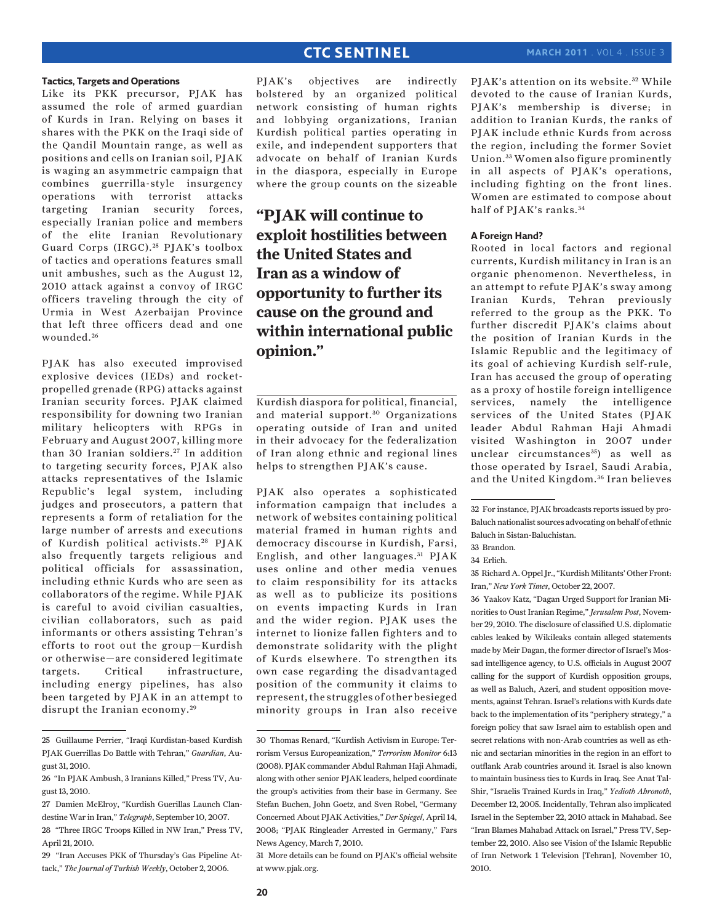#### **Tactics, Targets and Operations**

Like its PKK precursor, PJAK has assumed the role of armed guardian of Kurds in Iran. Relying on bases it shares with the PKK on the Iraqi side of the Qandil Mountain range, as well as positions and cells on Iranian soil, PJAK is waging an asymmetric campaign that combines guerrilla-style insurgency operations with terrorist attacks targeting Iranian security forces, especially Iranian police and members of the elite Iranian Revolutionary Guard Corps (IRGC).<sup>25</sup> PJAK's toolbox of tactics and operations features small unit ambushes, such as the August 12, 2010 attack against a convoy of IRGC officers traveling through the city of Urmia in West Azerbaijan Province that left three officers dead and one wounded.<sup>26</sup>

PJAK has also executed improvised explosive devices (IEDs) and rocketpropelled grenade (RPG) attacks against Iranian security forces. PJAK claimed responsibility for downing two Iranian military helicopters with RPGs in February and August 2007, killing more than 30 Iranian soldiers.<sup>27</sup> In addition to targeting security forces, PJAK also attacks representatives of the Islamic Republic's legal system, including judges and prosecutors, a pattern that represents a form of retaliation for the large number of arrests and executions of Kurdish political activists.<sup>28</sup> PJAK also frequently targets religious and political officials for assassination, including ethnic Kurds who are seen as collaborators of the regime. While PJAK is careful to avoid civilian casualties, civilian collaborators, such as paid informants or others assisting Tehran's efforts to root out the group—Kurdish or otherwise—are considered legitimate targets. Critical infrastructure, including energy pipelines, has also been targeted by PJAK in an attempt to disrupt the Iranian economy.<sup>29</sup>

PJAK's objectives are indirectly bolstered by an organized political network consisting of human rights and lobbying organizations, Iranian Kurdish political parties operating in exile, and independent supporters that advocate on behalf of Iranian Kurds in the diaspora, especially in Europe where the group counts on the sizeable

**"PJAK will continue to exploit hostilities between the United States and Iran as a window of opportunity to further its cause on the ground and within international public opinion."**

Kurdish diaspora for political, financial, and material support.<sup>30</sup> Organizations operating outside of Iran and united in their advocacy for the federalization of Iran along ethnic and regional lines helps to strengthen PJAK's cause.

PJAK also operates a sophisticated information campaign that includes a network of websites containing political material framed in human rights and democracy discourse in Kurdish, Farsi, English, and other languages. 31 PJAK uses online and other media venues to claim responsibility for its attacks as well as to publicize its positions on events impacting Kurds in Iran and the wider region. PJAK uses the internet to lionize fallen fighters and to demonstrate solidarity with the plight of Kurds elsewhere. To strengthen its own case regarding the disadvantaged position of the community it claims to represent, the struggles of other besieged minority groups in Iran also receive

31 More details can be found on PJAK's official website at www.pjak.org.

PJAK's attention on its website.<sup>32</sup> While devoted to the cause of Iranian Kurds, PJAK's membership is diverse; in addition to Iranian Kurds, the ranks of PJAK include ethnic Kurds from across the region, including the former Soviet Union. 33 Women also figure prominently in all aspects of PJAK's operations, including fighting on the front lines. Women are estimated to compose about half of PIAK's ranks.<sup>34</sup>

#### **A Foreign Hand?**

Rooted in local factors and regional currents, Kurdish militancy in Iran is an organic phenomenon. Nevertheless, in an attempt to refute PJAK's sway among Iranian Kurds, Tehran previously referred to the group as the PKK. To further discredit PJAK's claims about the position of Iranian Kurds in the Islamic Republic and the legitimacy of its goal of achieving Kurdish self-rule, Iran has accused the group of operating as a proxy of hostile foreign intelligence services, namely the intelligence services of the United States (PJAK leader Abdul Rahman Haji Ahmadi visited Washington in 2007 under unclear circumstances<sup>35</sup>) as well as those operated by Israel, Saudi Arabia, and the United Kingdom. 36 Iran believes

35 Richard A. Oppel Jr., "Kurdish Militants' Other Front: Iran," *New York Times*, October 22, 2007.

36 Yaakov Katz, "Dagan Urged Support for Iranian Minorities to Oust Iranian Regime," *Jerusalem Post*, November 29, 2010. The disclosure of classified U.S. diplomatic cables leaked by Wikileaks contain alleged statements made by Meir Dagan, the former director of Israel's Mossad intelligence agency, to U.S. officials in August 2007 calling for the support of Kurdish opposition groups, as well as Baluch, Azeri, and student opposition movements, against Tehran. Israel's relations with Kurds date back to the implementation of its "periphery strategy," a foreign policy that saw Israel aim to establish open and secret relations with non-Arab countries as well as ethnic and sectarian minorities in the region in an effort to outflank Arab countries around it. Israel is also known to maintain business ties to Kurds in Iraq. See Anat Tal-Shir, "Israelis Trained Kurds in Iraq," *Yedioth Ahronoth*, December 12, 2005. Incidentally, Tehran also implicated Israel in the September 22, 2010 attack in Mahabad. See "Iran Blames Mahabad Attack on Israel," Press TV, September 22, 2010. Also see Vision of the Islamic Republic of Iran Network 1 Television [Tehran], November 10, 2010.

<sup>25</sup> Guillaume Perrier, "Iraqi Kurdistan-based Kurdish PJAK Guerrillas Do Battle with Tehran," *Guardian*, August 31, 2010.

<sup>26 &</sup>quot;In PJAK Ambush, 3 Iranians Killed," Press TV, August 13, 2010.

<sup>27</sup> Damien McElroy, "Kurdish Guerillas Launch Clandestine War in Iran," *Telegraph*, September 10, 2007.

<sup>28 &</sup>quot;Three IRGC Troops Killed in NW Iran," Press TV, April 21, 2010.

<sup>29 &</sup>quot;Iran Accuses PKK of Thursday's Gas Pipeline Attack," *The Journal of Turkish Weekly*, October 2, 2006.

<sup>30</sup> Thomas Renard, "Kurdish Activism in Europe: Terrorism Versus Europeanization," *Terrorism Monitor* 6:13 (2008). PJAK commander Abdul Rahman Haji Ahmadi, along with other senior PJAK leaders, helped coordinate the group's activities from their base in Germany. See Stefan Buchen, John Goetz, and Sven Robel, "Germany Concerned About PJAK Activities," *Der Spiegel*, April 14, 2008; "PJAK Ringleader Arrested in Germany," Fars News Agency, March 7, 2010.

<sup>32</sup> For instance, PJAK broadcasts reports issued by pro-Baluch nationalist sources advocating on behalf of ethnic Baluch in Sistan-Baluchistan.

<sup>33</sup> Brandon.

<sup>34</sup> Erlich.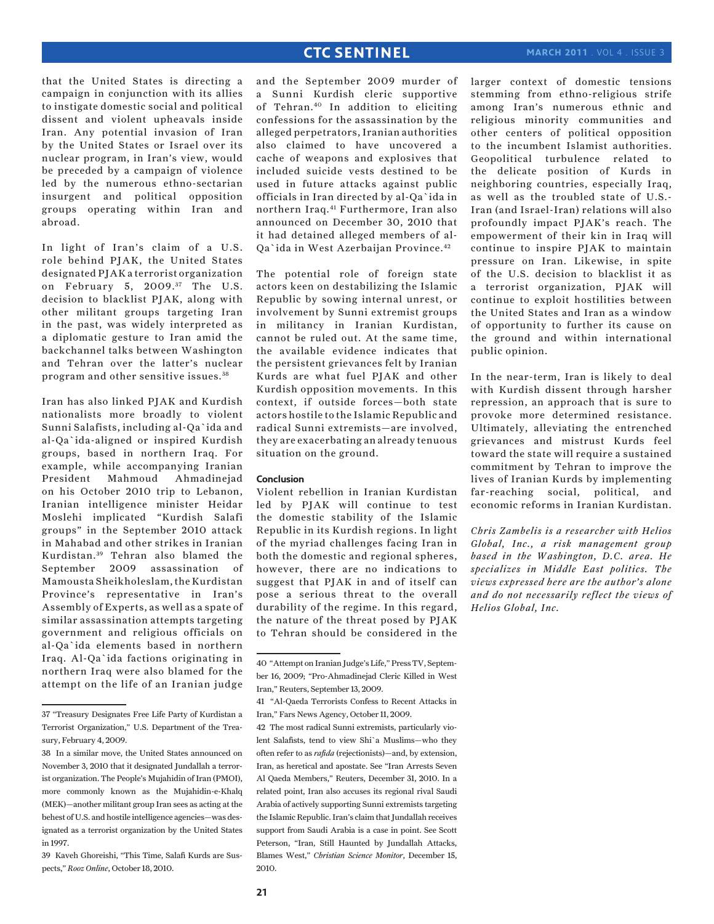## **march 2011** . Vol 4 . Issue 3

that the United States is directing a campaign in conjunction with its allies to instigate domestic social and political dissent and violent upheavals inside Iran. Any potential invasion of Iran by the United States or Israel over its nuclear program, in Iran's view, would be preceded by a campaign of violence led by the numerous ethno-sectarian insurgent and political opposition groups operating within Iran and abroad.

In light of Iran's claim of a U.S. role behind PJAK, the United States designated PJAK a terrorist organization on February 5, 2009.<sup>37</sup> The U.S. decision to blacklist PJAK, along with other militant groups targeting Iran in the past, was widely interpreted as a diplomatic gesture to Iran amid the backchannel talks between Washington and Tehran over the latter's nuclear program and other sensitive issues. <sup>38</sup>

Iran has also linked PJAK and Kurdish nationalists more broadly to violent Sunni Salafists, including al-Qa`ida and al-Qa`ida-aligned or inspired Kurdish groups, based in northern Iraq. For example, while accompanying Iranian President Mahmoud Ahmadinejad on his October 2010 trip to Lebanon, Iranian intelligence minister Heidar Moslehi implicated "Kurdish Salafi groups" in the September 2010 attack in Mahabad and other strikes in Iranian Kurdistan. 39 Tehran also blamed the September 2009 assassination of Mamousta Sheikholeslam, the Kurdistan Province's representative in Iran's Assembly of Experts, as well as a spate of similar assassination attempts targeting government and religious officials on al-Qa`ida elements based in northern Iraq. Al-Qa`ida factions originating in northern Iraq were also blamed for the attempt on the life of an Iranian judge and the September 2009 murder of a Sunni Kurdish cleric supportive of Tehran.40 In addition to eliciting confessions for the assassination by the alleged perpetrators, Iranian authorities also claimed to have uncovered a cache of weapons and explosives that included suicide vests destined to be used in future attacks against public officials in Iran directed by al-Qa`ida in northern Iraq.41 Furthermore, Iran also announced on December 30, 2010 that it had detained alleged members of al-Qa`ida in West Azerbaijan Province.42

The potential role of foreign state actors keen on destabilizing the Islamic Republic by sowing internal unrest, or involvement by Sunni extremist groups in militancy in Iranian Kurdistan, cannot be ruled out. At the same time, the available evidence indicates that the persistent grievances felt by Iranian Kurds are what fuel PJAK and other Kurdish opposition movements. In this context, if outside forces—both state actors hostile to the Islamic Republic and radical Sunni extremists—are involved, they are exacerbating an already tenuous situation on the ground.

## **Conclusion**

Violent rebellion in Iranian Kurdistan led by PJAK will continue to test the domestic stability of the Islamic Republic in its Kurdish regions. In light of the myriad challenges facing Iran in both the domestic and regional spheres, however, there are no indications to suggest that PJAK in and of itself can pose a serious threat to the overall durability of the regime. In this regard, the nature of the threat posed by PJAK to Tehran should be considered in the larger context of domestic tensions stemming from ethno-religious strife among Iran's numerous ethnic and religious minority communities and other centers of political opposition to the incumbent Islamist authorities. Geopolitical turbulence related to the delicate position of Kurds in neighboring countries, especially Iraq, as well as the troubled state of U.S.- Iran (and Israel-Iran) relations will also profoundly impact PJAK's reach. The empowerment of their kin in Iraq will continue to inspire PJAK to maintain pressure on Iran. Likewise, in spite of the U.S. decision to blacklist it as a terrorist organization, PJAK will continue to exploit hostilities between the United States and Iran as a window of opportunity to further its cause on the ground and within international public opinion.

In the near-term, Iran is likely to deal with Kurdish dissent through harsher repression, an approach that is sure to provoke more determined resistance. Ultimately, alleviating the entrenched grievances and mistrust Kurds feel toward the state will require a sustained commitment by Tehran to improve the lives of Iranian Kurds by implementing far-reaching social, political, and economic reforms in Iranian Kurdistan.

*Chris Zambelis is a researcher with Helios Global, Inc., a risk management group based in the Washington, D.C. area. He specializes in Middle East politics. The views expressed here are the author's alone and do not necessarily reflect the views of Helios Global, Inc.*

<sup>37 &</sup>quot;Treasury Designates Free Life Party of Kurdistan a Terrorist Organization," U.S. Department of the Treasury, February 4, 2009.

<sup>38</sup> In a similar move, the United States announced on November 3, 2010 that it designated Jundallah a terrorist organization. The People's Mujahidin of Iran (PMOI), more commonly known as the Mujahidin-e-Khalq (MEK)—another militant group Iran sees as acting at the behest of U.S. and hostile intelligence agencies—was designated as a terrorist organization by the United States in 1997.

<sup>39</sup> Kaveh Ghoreishi, "This Time, Salafi Kurds are Suspects," *Rooz Online*, October 18, 2010.

<sup>40 &</sup>quot;Attempt on Iranian Judge's Life," Press TV, September 16, 2009; "Pro-Ahmadinejad Cleric Killed in West Iran," Reuters, September 13, 2009.

<sup>41 &</sup>quot;Al-Qaeda Terrorists Confess to Recent Attacks in Iran," Fars News Agency, October 11, 2009.

<sup>42</sup> The most radical Sunni extremists, particularly violent Salafists, tend to view Shi`a Muslims—who they often refer to as *rafida* (rejectionists)—and, by extension, Iran, as heretical and apostate. See "Iran Arrests Seven Al Qaeda Members," Reuters, December 31, 2010. In a related point, Iran also accuses its regional rival Saudi Arabia of actively supporting Sunni extremists targeting the Islamic Republic. Iran's claim that Jundallah receives support from Saudi Arabia is a case in point. See Scott Peterson, "Iran, Still Haunted by Jundallah Attacks, Blames West," *Christian Science Monitor*, December 15, 2010.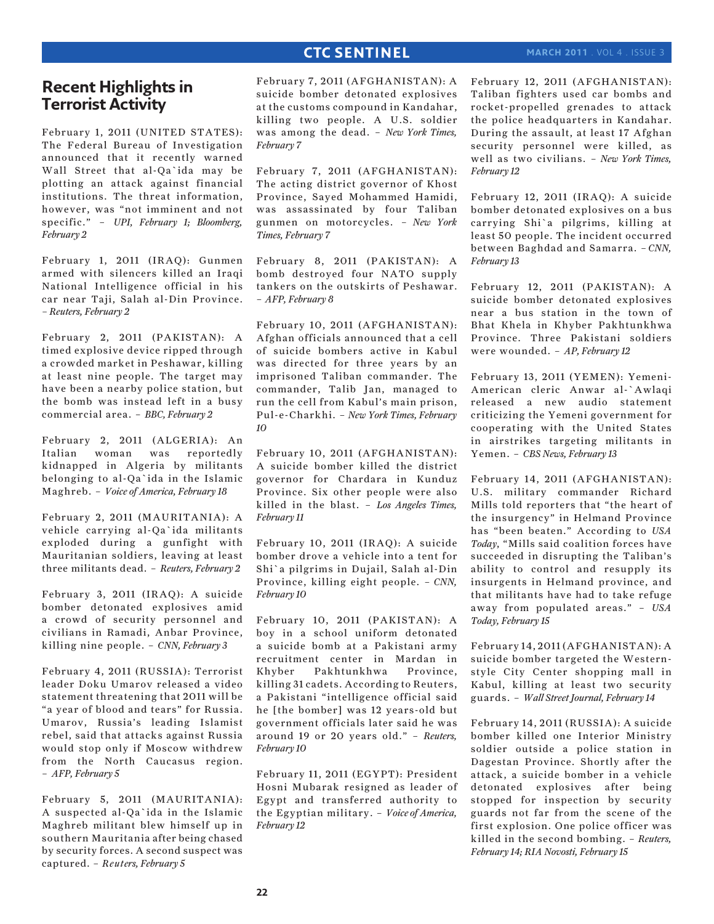## **march 2011** . Vol 4 . Issue 3

# **Recent Highlights in Terrorist Activity**

February 1, 2011 (UNITED STATES): The Federal Bureau of Investigation announced that it recently warned Wall Street that al-Qa`ida may be plotting an attack against financial institutions. The threat information, however, was "not imminent and not specific." – *UPI, February 1; Bloomberg, February 2*

February 1, 2011 (IRAQ): Gunmen armed with silencers killed an Iraqi National Intelligence official in his car near Taji, Salah al-Din Province. *– Reuters, February 2*

February 2, 2011 (PAKISTAN): A timed explosive device ripped through a crowded market in Peshawar, killing at least nine people. The target may have been a nearby police station, but the bomb was instead left in a busy commercial area. – *BBC, February 2*

February 2, 2011 (ALGERIA): An Italian woman was reportedly kidnapped in Algeria by militants belonging to al-Qa`ida in the Islamic Maghreb. – *Voice of America, February 18*

February 2, 2011 (MAURITANIA): A vehicle carrying al-Qa`ida militants exploded during a gunfight with Mauritanian soldiers, leaving at least three militants dead. – *Reuters, February 2*

February 3, 2011 (IRAQ): A suicide bomber detonated explosives amid a crowd of security personnel and civilians in Ramadi, Anbar Province, killing nine people. – *CNN, February 3*

February 4, 2011 (RUSSIA): Terrorist leader Doku Umarov released a video statement threatening that 2011 will be "a year of blood and tears" for Russia. Umarov, Russia's leading Islamist rebel, said that attacks against Russia would stop only if Moscow withdrew from the North Caucasus region. – *AFP, February 5*

February 5, 2011 (MAURITANIA): A suspected al-Qa`ida in the Islamic Maghreb militant blew himself up in southern Mauritania after being chased by security forces. A second suspect was captured. – *Reuters, February 5*

February 7, 2011 (AFGHANISTAN): A suicide bomber detonated explosives at the customs compound in Kandahar, killing two people. A U.S. soldier was among the dead. – *New York Times, February 7*

February 7, 2011 (AFGHANISTAN): The acting district governor of Khost Province, Sayed Mohammed Hamidi, was assassinated by four Taliban gunmen on motorcycles. *– New York Times, February 7*

February 8, 2011 (PAKISTAN): A bomb destroyed four NATO supply tankers on the outskirts of Peshawar. – *AFP, February 8*

February 10, 2011 (AFGHANISTAN): Afghan officials announced that a cell of suicide bombers active in Kabul was directed for three years by an imprisoned Taliban commander. The commander, Talib Jan, managed to run the cell from Kabul's main prison, Pul-e-Charkhi. – *New York Times, February 10*

February 10, 2011 (AFGHANISTAN): A suicide bomber killed the district governor for Chardara in Kunduz Province. Six other people were also killed in the blast. – *Los Angeles Times, February 11*

February 10, 2011 (IRAQ): A suicide bomber drove a vehicle into a tent for Shi`a pilgrims in Dujail, Salah al-Din Province, killing eight people. – *CNN, February 10*

February 10, 2011 (PAKISTAN): A boy in a school uniform detonated a suicide bomb at a Pakistani army recruitment center in Mardan in Khyber Pakhtunkhwa Province, killing 31 cadets. According to Reuters, a Pakistani "intelligence official said he [the bomber] was 12 years-old but government officials later said he was around 19 or 20 years old." – *Reuters, February 10*

February 11, 2011 (EGYPT): President Hosni Mubarak resigned as leader of Egypt and transferred authority to the Egyptian military. – *Voice of America, February 12* 

February 12, 2011 (AFGHANISTAN): Taliban fighters used car bombs and rocket-propelled grenades to attack the police headquarters in Kandahar. During the assault, at least 17 Afghan security personnel were killed, as well as two civilians. – *New York Times, February 12*

February 12, 2011 (IRAQ): A suicide bomber detonated explosives on a bus carrying Shi`a pilgrims, killing at least 50 people. The incident occurred between Baghdad and Samarra. *– CNN, February 13*

February 12, 2011 (PAKISTAN): A suicide bomber detonated explosives near a bus station in the town of Bhat Khela in Khyber Pakhtunkhwa Province. Three Pakistani soldiers were wounded. – *AP, February 12*

February 13, 2011 (YEMEN): Yemeni-American cleric Anwar al-`Awlaqi released a new audio statement criticizing the Yemeni government for cooperating with the United States in airstrikes targeting militants in Yemen. – *CBS News, February 13*

February 14, 2011 (AFGHANISTAN): U.S. military commander Richard Mills told reporters that "the heart of the insurgency" in Helmand Province has "been beaten." According to *USA Today*, "Mills said coalition forces have succeeded in disrupting the Taliban's ability to control and resupply its insurgents in Helmand province, and that militants have had to take refuge away from populated areas." – *USA Today, February 15*

February 14, 2011 (AFGHANISTAN): A suicide bomber targeted the Westernstyle City Center shopping mall in Kabul, killing at least two security guards. – *Wall Street Journal, February 14*

February 14, 2011 (RUSSIA): A suicide bomber killed one Interior Ministry soldier outside a police station in Dagestan Province. Shortly after the attack, a suicide bomber in a vehicle detonated explosives after being stopped for inspection by security guards not far from the scene of the first explosion. One police officer was killed in the second bombing. – *Reuters, February 14; RIA Novosti, February 15*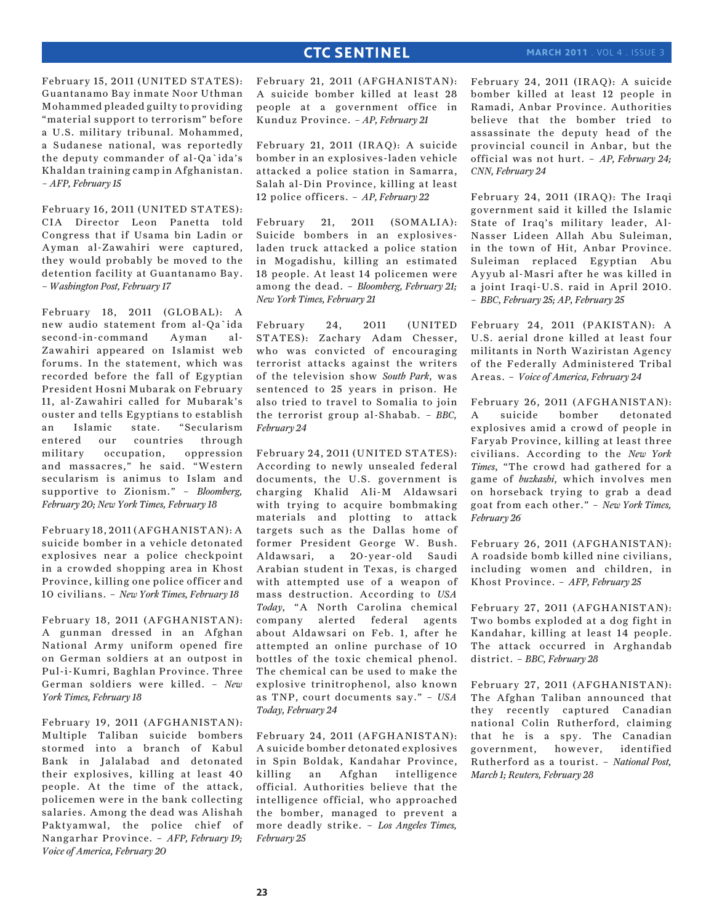February 15, 2011 (UNITED STATES): Guantanamo Bay inmate Noor Uthman Mohammed pleaded guilty to providing "material support to terrorism" before a U.S. military tribunal. Mohammed, a Sudanese national, was reportedly the deputy commander of al-Qa`ida's Khaldan training camp in Afghanistan. *– AFP, February 15*

February 16, 2011 (UNITED STATES): CIA Director Leon Panetta told Congress that if Usama bin Ladin or Ayman al-Zawahiri were captured, they would probably be moved to the detention facility at Guantanamo Bay. *– Washington Post, February 17*

February 18, 2011 (GLOBAL): A new audio statement from al-Qa`ida second-in-command Ayman al-Zawahiri appeared on Islamist web forums. In the statement, which was recorded before the fall of Egyptian President Hosni Mubarak on February 11, al-Zawahiri called for Mubarak's ouster and tells Egyptians to establish an Islamic state. "Secularism entered our countries through military occupation, oppression and massacres," he said. "Western secularism is animus to Islam and supportive to Zionism." – *Bloomberg, February 20; New York Times, February 18*

February 18, 2011 (AFGHANISTAN): A suicide bomber in a vehicle detonated explosives near a police checkpoint in a crowded shopping area in Khost Province, killing one police officer and 10 civilians. – *New York Times, February 18*

February 18, 2011 (AFGHANISTAN): A gunman dressed in an Afghan National Army uniform opened fire on German soldiers at an outpost in Pul-i-Kumri, Baghlan Province. Three German soldiers were killed. – *New York Times, February 18*

February 19, 2011 (AFGHANISTAN): Multiple Taliban suicide bombers stormed into a branch of Kabul Bank in Jalalabad and detonated their explosives, killing at least 40 people. At the time of the attack, policemen were in the bank collecting salaries. Among the dead was Alishah Paktyamwal, the police chief of Nangarhar Province. – *AFP, February 19; Voice of America, February 20*

February 21, 2011 (AFGHANISTAN): A suicide bomber killed at least 28 people at a government office in Kunduz Province. *– AP, February 21*

February 21, 2011 (IRAQ): A suicide bomber in an explosives-laden vehicle attacked a police station in Samarra, Salah al-Din Province, killing at least 12 police officers. – *AP, February 22*

February 21, 2011 (SOMALIA): Suicide bombers in an explosivesladen truck attacked a police station in Mogadishu, killing an estimated 18 people. At least 14 policemen were among the dead. – *Bloomberg, February 21; New York Times, February 21*

February 24, 2011 (UNITED STATES): Zachary Adam Chesser, who was convicted of encouraging terrorist attacks against the writers of the television show *South Park*, was sentenced to 25 years in prison. He also tried to travel to Somalia to join the terrorist group al-Shabab. – *BBC, February 24*

February 24, 2011 (UNITED STATES): According to newly unsealed federal documents, the U.S. government is charging Khalid Ali-M Aldawsari with trying to acquire bombmaking materials and plotting to attack targets such as the Dallas home of former President George W. Bush. Aldawsari, a 20-year-old Saudi Arabian student in Texas, is charged with attempted use of a weapon of mass destruction. According to *USA Today*, "A North Carolina chemical company alerted federal agents about Aldawsari on Feb. 1, after he attempted an online purchase of 10 bottles of the toxic chemical phenol. The chemical can be used to make the explosive trinitrophenol, also known as TNP, court documents say." – *USA Today, February 24*

February 24, 2011 (AFGHANISTAN): A suicide bomber detonated explosives in Spin Boldak, Kandahar Province, killing an Afghan intelligence official. Authorities believe that the intelligence official, who approached the bomber, managed to prevent a more deadly strike. – *Los Angeles Times, February 25*

February 24, 2011 (IRAQ): A suicide bomber killed at least 12 people in Ramadi, Anbar Province. Authorities believe that the bomber tried to assassinate the deputy head of the provincial council in Anbar, but the official was not hurt. – *AP, February 24; CNN, February 24*

February 24, 2011 (IRAQ): The Iraqi government said it killed the Islamic State of Iraq's military leader, Al-Nasser Lideen Allah Abu Suleiman, in the town of Hit, Anbar Province. Suleiman replaced Egyptian Abu Ayyub al-Masri after he was killed in a joint Iraqi-U.S. raid in April 2010. – *BBC, February 25; AP, February 25*

February 24, 2011 (PAKISTAN): A U.S. aerial drone killed at least four militants in North Waziristan Agency of the Federally Administered Tribal Areas. – *Voice of America, February 24*

February 26, 2011 (AFGHANISTAN): A suicide bomber detonated explosives amid a crowd of people in Faryab Province, killing at least three civilians. According to the *New York Times*, "The crowd had gathered for a game of *buzkashi*, which involves men on horseback trying to grab a dead goat from each other." – *New York Times, February 26*

February 26, 2011 (AFGHANISTAN): A roadside bomb killed nine civilians, including women and children, in Khost Province. – *AFP, February 25*

February 27, 2011 (AFGHANISTAN): Two bombs exploded at a dog fight in Kandahar, killing at least 14 people. The attack occurred in Arghandab district. – *BBC, February 28*

February 27, 2011 (AFGHANISTAN): The Afghan Taliban announced that they recently captured Canadian national Colin Rutherford, claiming that he is a spy. The Canadian government, however, identified Rutherford as a tourist. – *National Post, March 1; Reuters, February 28*